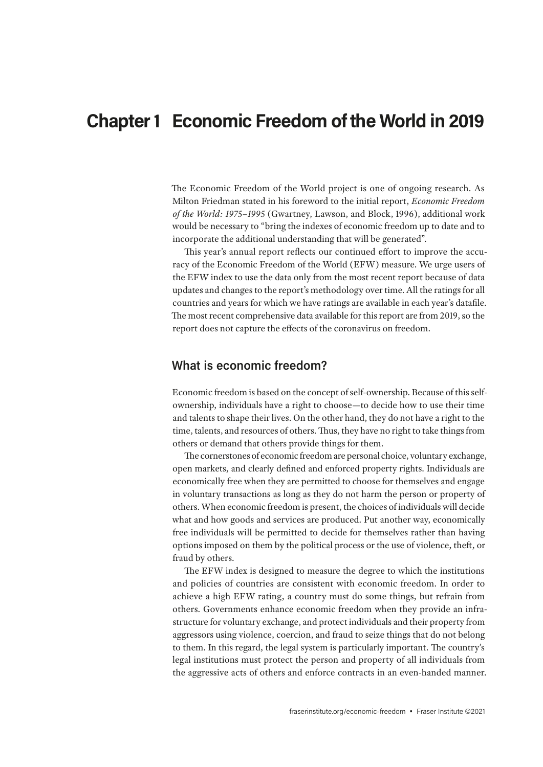# **Chapter 1 Economic Freedom of the World in 2019**

The Economic Freedom of the World project is one of ongoing research. As Milton Friedman stated in his foreword to the initial report, *Economic Freedom of the World: 1975–1995* (Gwartney, Lawson, and Block, 1996), additional work would be necessary to "bring the indexes of economic freedom up to date and to incorporate the additional understanding that will be generated".

This year's annual report reflects our continued effort to improve the accuracy of the Economic Freedom of the World (EFW) measure. We urge users of the EFW index to use the data only from the most recent report because of data updates and changes to the report's methodology over time. All the ratings for all countries and years for which we have ratings are available in each year's datafile. The most recent comprehensive data available for this report are from 2019, so the report does not capture the effects of the coronavirus on freedom.

### **What is economic freedom?**

Economic freedom is based on the concept of self-ownership. Because of this selfownership, individuals have a right to choose—to decide how to use their time and talents to shape their lives. On the other hand, they do not have a right to the time, talents, and resources of others. Thus, they have no right to take things from others or demand that others provide things for them.

The cornerstones of economic freedom are personal choice, voluntary exchange, open markets, and clearly defined and enforced property rights. Individuals are economically free when they are permitted to choose for themselves and engage in voluntary transactions as long as they do not harm the person or property of others. When economic freedom is present, the choices of individuals will decide what and how goods and services are produced. Put another way, economically free individuals will be permitted to decide for themselves rather than having options imposed on them by the political process or the use of violence, theft, or fraud by others.

The EFW index is designed to measure the degree to which the institutions and policies of countries are consistent with economic freedom. In order to achieve a high EFW rating, a country must do some things, but refrain from others. Governments enhance economic freedom when they provide an infrastructure for voluntary exchange, and protect individuals and their property from aggressors using violence, coercion, and fraud to seize things that do not belong to them. In this regard, the legal system is particularly important. The country's legal institutions must protect the person and property of all individuals from the aggressive acts of others and enforce contracts in an even-handed manner.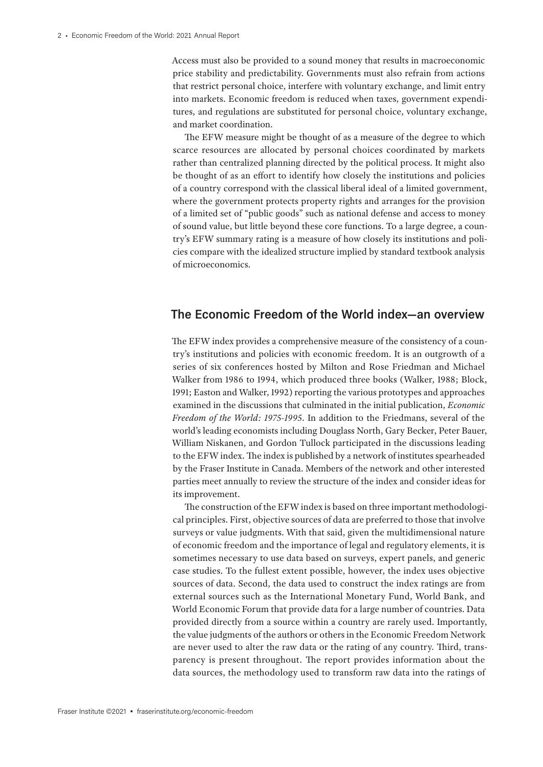Access must also be provided to a sound money that results in macroeconomic price stability and predictability. Governments must also refrain from actions that restrict personal choice, interfere with voluntary exchange, and limit entry into markets. Economic freedom is reduced when taxes, government expenditures, and regulations are substituted for personal choice, voluntary exchange, and market coordination.

The EFW measure might be thought of as a measure of the degree to which scarce resources are allocated by personal choices coordinated by markets rather than centralized planning directed by the political process. It might also be thought of as an effort to identify how closely the institutions and policies of a country correspond with the classical liberal ideal of a limited government, where the government protects property rights and arranges for the provision of a limited set of "public goods" such as national defense and access to money of sound value, but little beyond these core functions. To a large degree, a country's EFW summary rating is a measure of how closely its institutions and policies compare with the idealized structure implied by standard textbook analysis of microeconomics.

## **The Economic Freedom of the World index—an overview**

The EFW index provides a comprehensive measure of the consistency of a country's institutions and policies with economic freedom. It is an outgrowth of a series of six conferences hosted by Milton and Rose Friedman and Michael Walker from 1986 to 1994, which produced three books (Walker, 1988; Block, 1991; Easton and Walker, 1992) reporting the various prototypes and approaches examined in the discussions that culminated in the initial publication, *Economic Freedom of the World: 1975-1995*. In addition to the Friedmans, several of the world's leading economists including Douglass North, Gary Becker, Peter Bauer, William Niskanen, and Gordon Tullock participated in the discussions leading to the EFW index. The index is published by a network of institutes spearheaded by the Fraser Institute in Canada. Members of the network and other interested parties meet annually to review the structure of the index and consider ideas for its improvement.

The construction of the EFW index is based on three important methodological principles. First, objective sources of data are preferred to those that involve surveys or value judgments. With that said, given the multidimensional nature of economic freedom and the importance of legal and regulatory elements, it is sometimes necessary to use data based on surveys, expert panels, and generic case studies. To the fullest extent possible, however, the index uses objective sources of data. Second, the data used to construct the index ratings are from external sources such as the International Monetary Fund, World Bank, and World Economic Forum that provide data for a large number of countries. Data provided directly from a source within a country are rarely used. Importantly, the value judgments of the authors or others in the Economic Freedom Network are never used to alter the raw data or the rating of any country. Third, transparency is present throughout. The report provides information about the data sources, the methodology used to transform raw data into the ratings of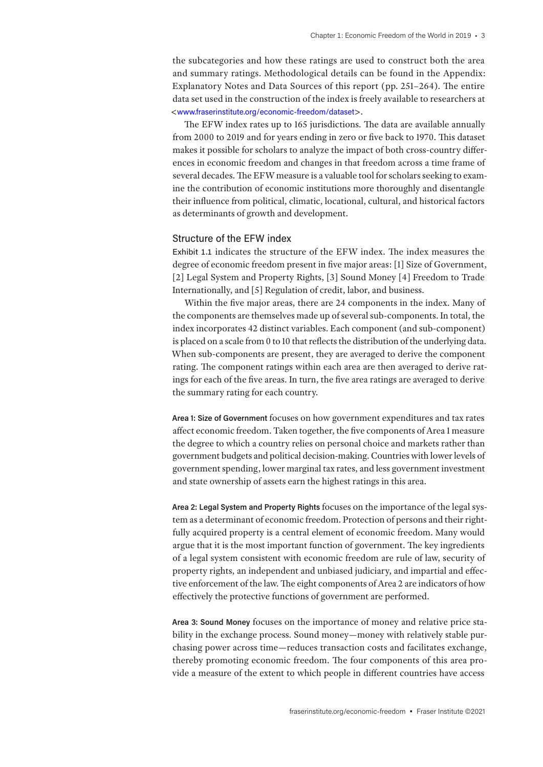the subcategories and how these ratings are used to construct both the area and summary ratings. Methodological details can be found in the Appendix: Explanatory Notes and Data Sources of this report (pp. 251–264). The entire data set used in the construction of the index is freely available to researchers at <www.fraserinstitute.org/economic-freedom/dataset>.

The EFW index rates up to 165 jurisdictions. The data are available annually from 2000 to 2019 and for years ending in zero or five back to 1970. This dataset makes it possible for scholars to analyze the impact of both cross-country differences in economic freedom and changes in that freedom across a time frame of several decades. The EFW measure is a valuable tool for scholars seeking to examine the contribution of economic institutions more thoroughly and disentangle their influence from political, climatic, locational, cultural, and historical factors as determinants of growth and development.

#### Structure of the EFW index

Exhibit 1.1 indicates the structure of the EFW index. The index measures the degree of economic freedom present in five major areas: [1] Size of Government, [2] Legal System and Property Rights, [3] Sound Money [4] Freedom to Trade Internationally, and [5] Regulation of credit, labor, and business.

Within the five major areas, there are 24 components in the index. Many of the components are themselves made up of several sub-components. In total, the index incorporates 42 distinct variables. Each component (and sub-component) is placed on a scale from 0 to 10 that reflects the distribution of the underlying data. When sub-components are present, they are averaged to derive the component rating. The component ratings within each area are then averaged to derive ratings for each of the five areas. In turn, the five area ratings are averaged to derive the summary rating for each country.

**Area 1: Size of Government** focuses on how government expenditures and tax rates affect economic freedom. Taken together, the five components of Area 1 measure the degree to which a country relies on personal choice and markets rather than government budgets and political decision-making. Countries with lower levels of government spending, lower marginal tax rates, and less government investment and state ownership of assets earn the highest ratings in this area.

**Area 2: Legal System and Property Rights** focuses on the importance of the legal system as a determinant of economic freedom. Protection of persons and their rightfully acquired property is a central element of economic freedom. Many would argue that it is the most important function of government. The key ingredients of a legal system consistent with economic freedom are rule of law, security of property rights, an independent and unbiased judiciary, and impartial and effective enforcement of the law. The eight components of Area 2 are indicators of how effectively the protective functions of government are performed.

**Area 3: Sound Money** focuses on the importance of money and relative price stability in the exchange process. Sound money—money with relatively stable purchasing power across time—reduces transaction costs and facilitates exchange, thereby promoting economic freedom. The four components of this area provide a measure of the extent to which people in different countries have access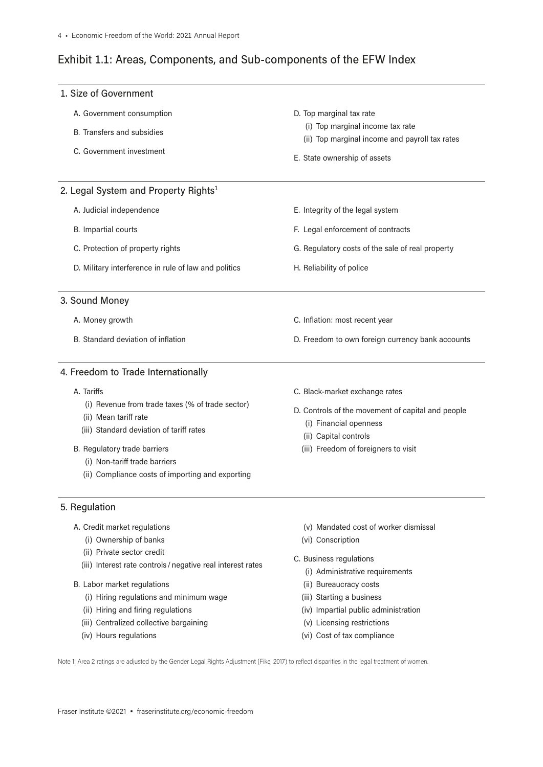## Exhibit 1.1: Areas, Components, and Sub-components of the EFW Index

| 1. Size of Government                                                                                             |                                                                                    |
|-------------------------------------------------------------------------------------------------------------------|------------------------------------------------------------------------------------|
| A. Government consumption                                                                                         | D. Top marginal tax rate                                                           |
| B. Transfers and subsidies                                                                                        | (i) Top marginal income tax rate<br>(ii) Top marginal income and payroll tax rates |
| C. Government investment                                                                                          | E. State ownership of assets                                                       |
| 2. Legal System and Property Rights <sup>1</sup>                                                                  |                                                                                    |
| A. Judicial independence                                                                                          | E. Integrity of the legal system                                                   |
| B. Impartial courts                                                                                               | F. Legal enforcement of contracts                                                  |
| C. Protection of property rights                                                                                  | G. Regulatory costs of the sale of real property                                   |
| D. Military interference in rule of law and politics                                                              | H. Reliability of police                                                           |
| 3. Sound Money                                                                                                    |                                                                                    |
| A. Money growth                                                                                                   | C. Inflation: most recent year                                                     |
| B. Standard deviation of inflation                                                                                | D. Freedom to own foreign currency bank accounts                                   |
| 4. Freedom to Trade Internationally                                                                               |                                                                                    |
| A. Tariffs                                                                                                        | C. Black-market exchange rates                                                     |
| (i) Revenue from trade taxes (% of trade sector)                                                                  | D. Controls of the movement of capital and people                                  |
| (ii) Mean tariff rate<br>(iii) Standard deviation of tariff rates                                                 | (i) Financial openness                                                             |
| B. Regulatory trade barriers<br>(i) Non-tariff trade barriers<br>(ii) Compliance costs of importing and exporting | (ii) Capital controls<br>(iii) Freedom of foreigners to visit                      |
| 5. Regulation                                                                                                     |                                                                                    |
| A. Credit market regulations                                                                                      | (v) Mandated cost of worker dismissal                                              |
| (i) Ownership of banks                                                                                            | (vi) Conscription                                                                  |
| (ii) Private sector credit<br>(iii) Interest rate controls / negative real interest rates                         | C. Business regulations                                                            |
| B. Labor market regulations                                                                                       | (i) Administrative requirements<br>(ii) Bureaucracy costs                          |
|                                                                                                                   |                                                                                    |

- (i) Hiring regulations and minimum wage
- (ii) Hiring and firing regulations
- (iii) Centralized collective bargaining
- (iv) Hours regulations
- (iii) Starting a business
- (iv) Impartial public administration
- (v) Licensing restrictions
- (vi) Cost of tax compliance

Note 1: Area 2 ratings are adjusted by the Gender Legal Rights Adjustment (Fike, 2017) to reflect disparities in the legal treatment of women.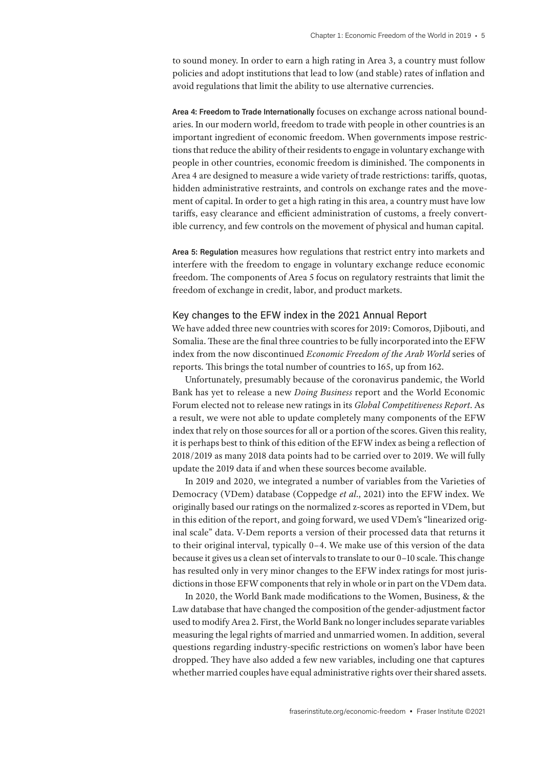to sound money. In order to earn a high rating in Area 3, a country must follow policies and adopt institutions that lead to low (and stable) rates of inflation and avoid regulations that limit the ability to use alternative currencies.

**Area 4: Freedom to Trade Internationally** focuses on exchange across national boundaries. In our modern world, freedom to trade with people in other countries is an important ingredient of economic freedom. When governments impose restrictions that reduce the ability of their residents to engage in voluntary exchange with people in other countries, economic freedom is diminished. The components in Area 4 are designed to measure a wide variety of trade restrictions: tariffs, quotas, hidden administrative restraints, and controls on exchange rates and the movement of capital. In order to get a high rating in this area, a country must have low tariffs, easy clearance and efficient administration of customs, a freely convertible currency, and few controls on the movement of physical and human capital.

**Area 5: Regulation** measures how regulations that restrict entry into markets and interfere with the freedom to engage in voluntary exchange reduce economic freedom. The components of Area 5 focus on regulatory restraints that limit the freedom of exchange in credit, labor, and product markets.

#### Key changes to the EFW index in the 2021 Annual Report

We have added three new countries with scores for 2019: Comoros, Djibouti, and Somalia. These are the final three countries to be fully incorporated into the EFW index from the now discontinued *Economic Freedom of the Arab World* series of reports. This brings the total number of countries to 165, up from 162.

Unfortunately, presumably because of the coronavirus pandemic, the World Bank has yet to release a new *Doing Business* report and the World Economic Forum elected not to release new ratings in its *Global Competitiveness Report*. As a result, we were not able to update completely many components of the EFW index that rely on those sources for all or a portion of the scores. Given this reality, it is perhaps best to think of this edition of the EFW index as being a reflection of 2018/2019 as many 2018 data points had to be carried over to 2019. We will fully update the 2019 data if and when these sources become available.

In 2019 and 2020, we integrated a number of variables from the Varieties of Democracy (VDem) database (Coppedge *et al*., 2021) into the EFW index. We originally based our ratings on the normalized z-scores as reported in VDem, but in this edition of the report, and going forward, we used VDem's "linearized original scale" data. V-Dem reports a version of their processed data that returns it to their original interval, typically 0–4. We make use of this version of the data because it gives us a clean set of intervals to translate to our 0–10 scale. This change has resulted only in very minor changes to the EFW index ratings for most jurisdictions in those EFW components that rely in whole or in part on the VDem data.

In 2020, the World Bank made modifications to the Women, Business, & the Law database that have changed the composition of the gender-adjustment factor used to modify Area 2. First, the World Bank no longer includes separate variables measuring the legal rights of married and unmarried women. In addition, several questions regarding industry-specific restrictions on women's labor have been dropped. They have also added a few new variables, including one that captures whether married couples have equal administrative rights over their shared assets.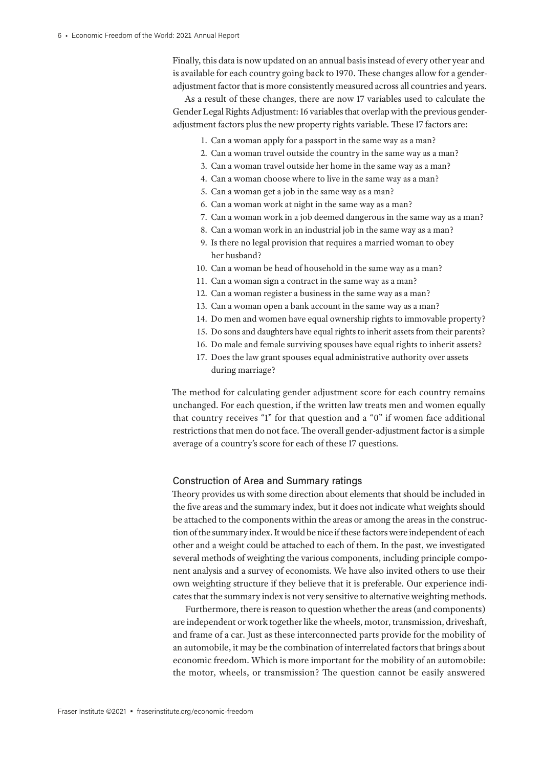Finally, this data is now updated on an annual basis instead of every other year and is available for each country going back to 1970. These changes allow for a genderadjustment factor that is more consistently measured across all countries and years.

As a result of these changes, there are now 17 variables used to calculate the Gender Legal Rights Adjustment: 16 variables that overlap with the previous genderadjustment factors plus the new property rights variable. These 17 factors are:

- 1. Can a woman apply for a passport in the same way as a man?
- 2. Can a woman travel outside the country in the same way as a man?
- 3. Can a woman travel outside her home in the same way as a man?
- 4. Can a woman choose where to live in the same way as a man?
- 5. Can a woman get a job in the same way as a man?
- 6. Can a woman work at night in the same way as a man?
- 7. Can a woman work in a job deemed dangerous in the same way as a man?
- 8. Can a woman work in an industrial job in the same way as a man?
- 9. Is there no legal provision that requires a married woman to obey her husband?
- 10. Can a woman be head of household in the same way as a man?
- 11. Can a woman sign a contract in the same way as a man?
- 12. Can a woman register a business in the same way as a man?
- 13. Can a woman open a bank account in the same way as a man?
- 14. Do men and women have equal ownership rights to immovable property?
- 15. Do sons and daughters have equal rights to inherit assets from their parents?
- 16. Do male and female surviving spouses have equal rights to inherit assets?
- 17. Does the law grant spouses equal administrative authority over assets during marriage?

The method for calculating gender adjustment score for each country remains unchanged. For each question, if the written law treats men and women equally that country receives "1" for that question and a "0" if women face additional restrictions that men do not face. The overall gender-adjustment factor is a simple average of a country's score for each of these 17 questions.

#### Construction of Area and Summary ratings

Theory provides us with some direction about elements that should be included in the five areas and the summary index, but it does not indicate what weights should be attached to the components within the areas or among the areas in the construction of the summary index. It would be nice if these factors were independent of each other and a weight could be attached to each of them. In the past, we investigated several methods of weighting the various components, including principle component analysis and a survey of economists. We have also invited others to use their own weighting structure if they believe that it is preferable. Our experience indicates that the summary index is not very sensitive to alternative weighting methods.

Furthermore, there is reason to question whether the areas (and components) are independent or work together like the wheels, motor, transmission, driveshaft, and frame of a car. Just as these interconnected parts provide for the mobility of an automobile, it may be the combination of interrelated factors that brings about economic freedom. Which is more important for the mobility of an automobile: the motor, wheels, or transmission? The question cannot be easily answered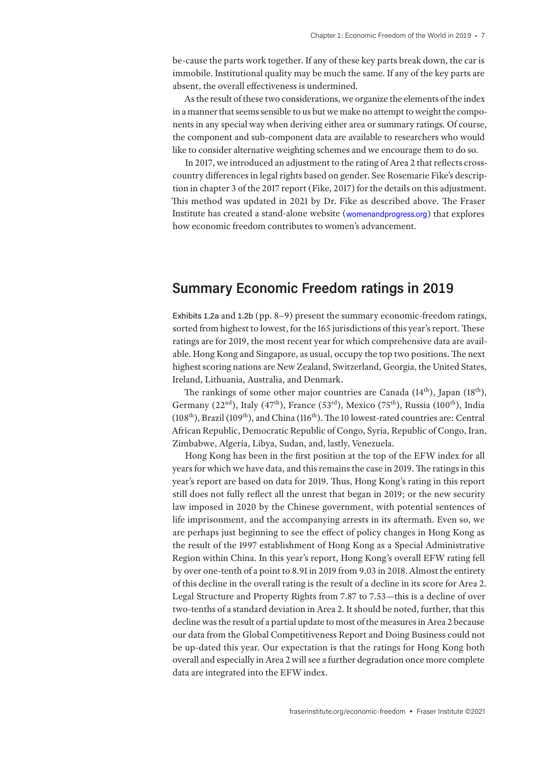be-cause the parts work together. If any of these key parts break down, the car is immobile. Institutional quality may be much the same. If any of the key parts are absent, the overall effectiveness is undermined.

As the result of these two considerations, we organize the elements of the index in a manner that seems sensible to us but we make no attempt to weight the components in any special way when deriving either area or summary ratings. Of course, the component and sub-component data are available to researchers who would like to consider alternative weighting schemes and we encourage them to do so.

In 2017, we introduced an adjustment to the rating of Area 2 that reflects crosscountry differences in legal rights based on gender. See Rosemarie Fike's description in chapter 3 of the 2017 report (Fike, 2017) for the details on this adjustment. This method was updated in 2021 by Dr. Fike as described above. The Fraser Institute has created a stand-alone website (womenandprogress.org) that explores how economic freedom contributes to women's advancement.

## **Summary Economic Freedom ratings in 2019**

Exhibits 1.2a and 1.2b (pp. 8–9) present the summary economic-freedom ratings, sorted from highest to lowest, for the 165 jurisdictions of this year's report. These ratings are for 2019, the most recent year for which comprehensive data are available. Hong Kong and Singapore, as usual, occupy the top two positions. The next highest scoring nations are New Zealand, Switzerland, Georgia, the United States, Ireland, Lithuania, Australia, and Denmark.

The rankings of some other major countries are Canada  $(14<sup>th</sup>)$ , Japan  $(18<sup>th</sup>)$ , Germany (22<sup>nd</sup>), Italy (47<sup>th</sup>), France (53<sup>rd</sup>), Mexico (75<sup>th</sup>), Russia (100<sup>th</sup>), India ( $108<sup>th</sup>$ ), Brazil ( $109<sup>th</sup>$ ), and China ( $116<sup>th</sup>$ ). The 10 lowest-rated countries are: Central African Republic, Democratic Republic of Congo, Syria, Republic of Congo, Iran, Zimbabwe, Algeria, Libya, Sudan, and, lastly, Venezuela.

Hong Kong has been in the first position at the top of the EFW index for all years for which we have data, and this remains the case in 2019. The ratings in this year's report are based on data for 2019. Thus, Hong Kong's rating in this report still does not fully reflect all the unrest that began in 2019; or the new security law imposed in 2020 by the Chinese government, with potential sentences of life imprisonment, and the accompanying arrests in its aftermath. Even so, we are perhaps just beginning to see the effect of policy changes in Hong Kong as the result of the 1997 establishment of Hong Kong as a Special Administrative Region within China. In this year's report, Hong Kong's overall EFW rating fell by over one-tenth of a point to 8.91 in 2019 from 9.03 in 2018. Almost the entirety of this decline in the overall rating is the result of a decline in its score for Area 2. Legal Structure and Property Rights from 7.87 to 7.53—this is a decline of over two-tenths of a standard deviation in Area 2. It should be noted, further, that this decline was the result of a partial update to most of the measures in Area 2 because our data from the Global Competitiveness Report and Doing Business could not be up-dated this year. Our expectation is that the ratings for Hong Kong both overall and especially in Area 2 will see a further degradation once more complete data are integrated into the EFW index.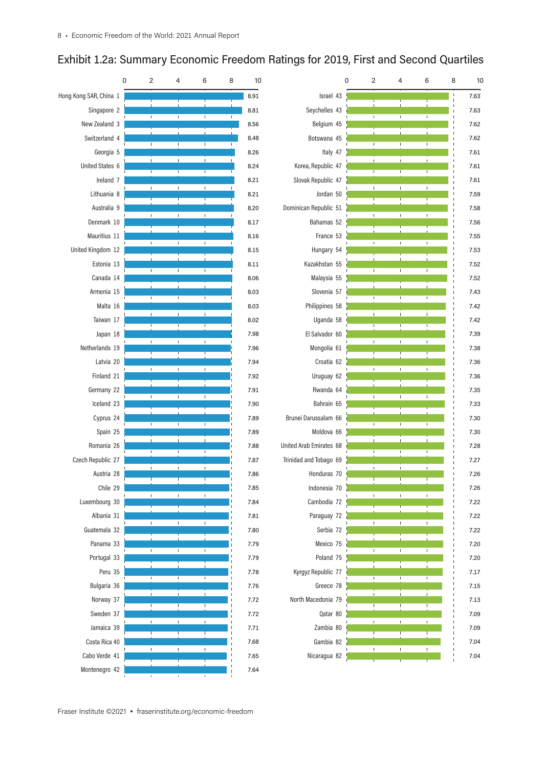# Exhibit 1.2a: Summary Economic Freedom Ratings for 2019, First and Second Quartiles

|                        | 0 | 2              | 4                 | 6                  | 8 | 10   |                         | $\overline{\mathbf{c}}$<br>$\pmb{0}$ | 4                   | 6 | 8 | 10   |
|------------------------|---|----------------|-------------------|--------------------|---|------|-------------------------|--------------------------------------|---------------------|---|---|------|
| Hong Kong SAR, China 1 |   |                |                   |                    |   | 8.91 | Israel 43               |                                      |                     |   |   | 7.63 |
| Singapore 2            |   | $\mathbf{I}$   | $\mathbf{I}$      | $\mathbf{I}$       |   | 8.81 | Seychelles 43           | $\mathsf I$                          | $\mathsf I$         |   |   | 7.63 |
| New Zealand 3          |   |                |                   |                    |   | 8.56 | Belgium 45              |                                      |                     |   |   | 7.62 |
| Switzerland 4          |   |                |                   |                    |   | 8.48 | Botswana 45             | $\mathbf{I}$                         | 1                   |   |   | 7.62 |
| Georgia 5              |   |                |                   |                    |   | 8.26 | Italy 47                |                                      |                     |   |   | 7.61 |
| United States 6        |   |                | $\mathbf{I}$      | $\mathbf{I}$       |   | 8.24 | Korea, Republic 47      |                                      |                     |   |   | 7.61 |
| Ireland 7              |   |                |                   |                    |   | 8.21 | Slovak Republic 47      |                                      |                     |   |   | 7.61 |
| Lithuania 8            |   | $\mathbf{I}$   | $\mathbb{L}$      | $\mathbb{L}$       |   | 8.21 | Jordan 50               | $\mathsf I$                          | $\mathbb{L}$        |   |   | 7.59 |
| Australia 9            |   |                |                   |                    |   | 8.20 | Dominican Republic 51   |                                      |                     |   |   | 7.58 |
| Denmark 10             |   |                | $\mathbf{I}$      | $\mathbb{L}$       |   | 8.17 | Bahamas 52              | $\mathsf I$                          | $\mathsf I$         |   |   | 7.56 |
| Mauritius 11           |   |                |                   |                    |   | 8.16 | France 53               |                                      |                     |   |   | 7.55 |
| United Kingdom 12      |   | $\mathbf{I}$   | $\mathsf I$       | I.                 |   | 8.15 | Hungary 54              | $\mathsf I$                          | $\mathsf I$         |   |   | 7.53 |
| Estonia 13             |   |                |                   |                    |   | 8.11 | Kazakhstan 55           |                                      |                     |   |   | 7.52 |
| Canada 14              |   |                |                   |                    |   | 8.06 | Malaysia 55             | $\mathbf{I}$                         | L                   |   |   | 7.52 |
| Armenia 15             |   |                | $\mathsf{I}$      |                    |   | 8.03 | Slovenia 57             |                                      |                     |   |   | 7.43 |
| Malta 16               |   |                |                   |                    |   | 8.03 | Philippines 58          | $\mathsf I$                          | Τ.                  |   |   | 7.42 |
| Taiwan 17              |   |                | $\mathbf{I}$      | $\mathbf{L}$       |   | 8.02 | Uganda 58               | $\mathbf{I}$                         | $\mathbf{I}$        |   |   | 7.42 |
| Japan 18               |   |                |                   |                    |   | 7.98 | El Salvador 60          |                                      |                     |   |   | 7.39 |
| Netherlands 19         |   | $\mathbf{I}$   | $\mathbf{I}$      | $\mathbf{I}$       |   | 7.96 | Mongolia 61             | $\mathbf I$                          | $\mathbb{I}$        |   |   | 7.38 |
| Latvia 20              |   |                |                   |                    |   | 7.94 | Croatia 62              |                                      |                     |   |   | 7.36 |
| Finland 21             |   |                |                   |                    |   | 7.92 | Uruguay 62              | $\overline{1}$                       | $\overline{1}$      |   |   | 7.36 |
| Germany 22             |   |                |                   |                    |   | 7.91 | Rwanda 64               |                                      |                     |   |   | 7.35 |
| Iceland 23             |   | $\mathbf{I}$   | $\mathbf{I}$      |                    |   | 7.90 | Bahrain 65              | $\mathsf I$                          | $\mathsf I$         |   |   | 7.33 |
| Cyprus 24              |   |                | $\mathsf{I}$      |                    |   | 7.89 | Brunei Darussalam 66    | $\mathsf{I}$                         | 1                   |   |   | 7.30 |
| Spain 25               |   |                |                   |                    |   | 7.89 | Moldova 66              |                                      |                     |   |   | 7.30 |
| Romania 26             |   | $\mathbf{I}$   | Τ                 | $\mathbf{I}$       |   | 7.88 | United Arab Emirates 68 | $\mathbf{I}$<br>L                    | $\mathbf{I}$<br>Τ   |   |   | 7.28 |
| Czech Republic 27      |   |                |                   |                    |   | 7.87 | Trinidad and Tobago 69  |                                      |                     |   |   | 7.27 |
| Austria 28             |   |                | $\mathbf{I}$      |                    |   | 7.86 | Honduras 70             | $\mathbf{I}$                         | $\mathbf{I}$<br>Ι.  |   |   | 7.26 |
| Chile 29               |   |                |                   |                    |   | 7.85 | Indonesia 70            |                                      |                     |   |   | 7.26 |
| Luxembourg 30          |   |                |                   |                    |   | 7.84 | Cambodia 72             |                                      |                     |   |   | 7.22 |
| Albania 31             |   | $\mathsf I$    | $\mathbb{L}$      | $\mathbb{L}$       |   | 7.81 | Paraguay 72             | $\mathsf I$                          | $\mathsf I$         |   |   | 7.22 |
| Guatemala 32           |   |                |                   |                    |   | 7.80 | Serbia 72               |                                      |                     |   |   | 7.22 |
| Panama 33              |   | $\mathbb T$    | $\mathbb{L}$      | $\mathbf{I}$       |   | 7.79 | Mexico 75               | L                                    | $\mathsf I$         |   |   | 7.20 |
| Portugal 33            |   |                |                   |                    |   | 7.79 | Poland 75               |                                      |                     |   |   | 7.20 |
| Peru 35                |   | $\mathbf{I}$   | $\mathbb{L}$      | $\mathbb{L}$       |   | 7.78 | Kyrgyz Republic 77      | L                                    | Τ.                  | L |   | 7.17 |
| Bulgaria 36            |   |                |                   |                    |   | 7.76 | Greece 78               |                                      |                     |   |   | 7.15 |
| Norway 37              |   | $\mathbf{I}$   | $\mathbf{L}$<br>Τ | $\mathbb{L}$<br>Ι. |   | 7.72 | North Macedonia 79      | $\mathbf{I}$<br>$\mathbf{I}$         | $\overline{1}$<br>Τ |   |   | 7.13 |
| Sweden 37              |   |                |                   |                    |   | 7.72 | Qatar 80                |                                      |                     |   |   | 7.09 |
| Jamaica 39             |   | $\mathsf I$    | $\mathbb{L}$      | $\mathbb{L}$       |   | 7.71 | Zambia 80               | $\mathsf I$                          | $\mathsf I$         |   |   | 7.09 |
| Costa Rica 40          |   | $\mathbb T$    | $\mathbb{L}$      | $\mathbb{I}$       |   | 7.68 | Gambia 82               |                                      |                     |   |   | 7.04 |
| Cabo Verde 41          |   |                |                   |                    |   | 7.65 | Nicaragua 82            | $\mathsf I$                          | $\mathsf I$         |   |   | 7.04 |
| Montenegro 42          |   | $\sim 10^{-1}$ | $\mathbf{1}$      | $\mathbf{1}$       |   | 7.64 |                         |                                      |                     |   |   |      |
|                        |   |                |                   |                    |   |      |                         |                                      |                     |   |   |      |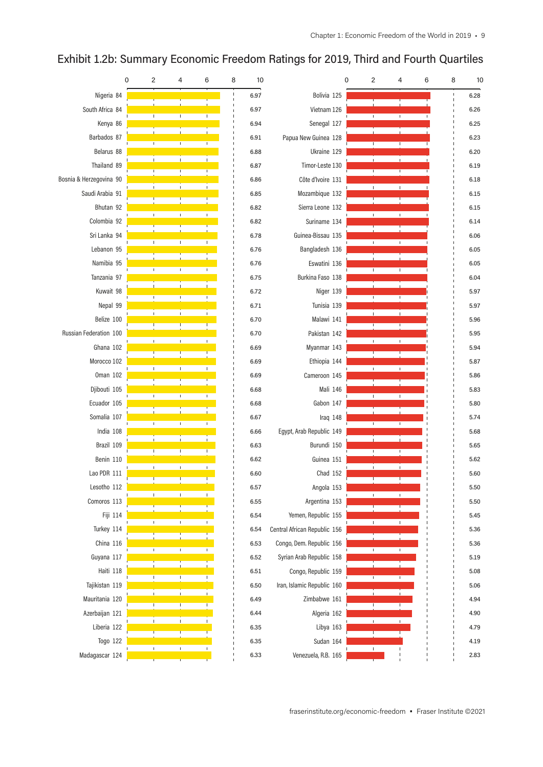#### 0 2 4 6 8 10 0 2 4 6 8 10 Nigeria 84 and 1990 and 1990 and 1990 and 1990 and 1990 and 1990 and 1990 and 1990 and 1990 and 1990 and 1990 Bolivia 125 **6.28** South Africa 84 6.97 Vietnam 126 6.26 Kenya 86 6.94 Senegal 127 6.25 Barbados 87 6.91 Papua New Guinea 128 6.23 Ukraine 129 Belarus 88 6.88 6.20 Thailand 89 Timor-Leste 130 6.87 6.19 Bosnia & Herzegovina 90 6.86 Côte d'Ivoire 131 6.18 Saudi Arabia 91 6.85 Mozambique 132 6.15 Bhutan 92 6.82 Sierra Leone 132 6.15 Colombia 92 6.82 Suriname 134 6.14 Sri Lanka 94 Guinea-Bissau 135 6.78 6.06 Lebanon 95 Bangladesh 136 6.76 6.05 Namibia 95 6.76 Eswatini 136 6.05 Burkina Faso 138 Tanzania 97 6.75 6.04 Kuwait 98 6.72 Niger 139 5.97 Tunisia 139 Nepal 99 6.71 5.97 Belize 100 6.70 Malawi 141 5.96 Pakistan 142 Russian Federation 100 6.70 5.95 Ghana 102 6.69 Myanmar 143 5.94 Ethiopia 144 Morocco 102 6.69 5.87 Cameroon 145 Oman 102 6.69 5.86 Djibouti 105 Mali 146 6.68 5.83 Ecuador 105 6.68 Gabon 147 5.80 Somalia 107 6.67 Iraq 148 5.74 India 108 6.66 Egypt, Arab Republic 149 5.68 Brazil 109 6.63 Burundi 150 5.65 Benin 110 Guinea 151 6.62 5.62 Lao PDR 111 Chad 152 6.60 5.60 Lesotho 112 Angola 153 6.57 5.50 Argentina 153 Comoros 113 6.55 5.50 Yemen, Republic 155 Fiji 114 6.54 5.45  $\overline{1}$ Turkey 114 6.54 Central African Republic 156 5.36 China 116 Congo, Dem. Republic 156 6.53 5.36 Guyana 117 6.52 Syrian Arab Republic 158 5.19 Haiti 118 6.51 Congo, Republic 159 5.08 Tajikistan 119 6.50 Iran, Islamic Republic 160 5.06 Mauritania 120 Zimbabwe 161 6.49 4.94 Azerbaijan 121 6.44 Algeria 162 4.90 Liberia 122 Libya 163 6.35 4.79 Togo 122 6.35 Sudan 164 4.19 Venezuela, R.B. 165 Madagascar 124 6.33 2.83

## Exhibit 1.2b: Summary Economic Freedom Ratings for 2019, Third and Fourth Quartiles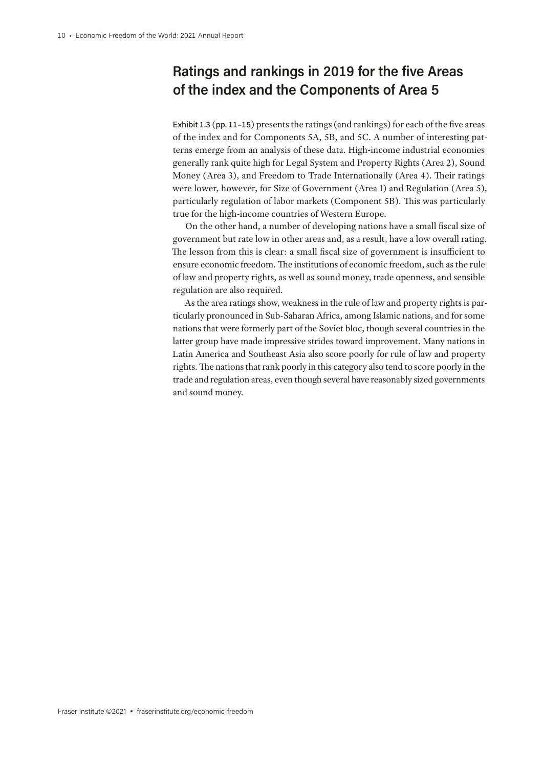# **Ratings and rankings in 2019 for the five Areas of the index and the Components of Area 5**

Exhibit 1.3 (pp. 11–15) presents the ratings (and rankings) for each of the five areas of the index and for Components 5A, 5B, and 5C. A number of interesting patterns emerge from an analysis of these data. High-income industrial economies generally rank quite high for Legal System and Property Rights (Area 2), Sound Money (Area 3), and Freedom to Trade Internationally (Area 4). Their ratings were lower, however, for Size of Government (Area 1) and Regulation (Area 5), particularly regulation of labor markets (Component 5B). This was particularly true for the high-income countries of Western Europe.

On the other hand, a number of developing nations have a small fiscal size of government but rate low in other areas and, as a result, have a low overall rating. The lesson from this is clear: a small fiscal size of government is insufficient to ensure economic freedom. The institutions of economic freedom, such as the rule of law and property rights, as well as sound money, trade openness, and sensible regulation are also required.

As the area ratings show, weakness in the rule of law and property rights is particularly pronounced in Sub-Saharan Africa, among Islamic nations, and for some nations that were formerly part of the Soviet bloc, though several countries in the latter group have made impressive strides toward improvement. Many nations in Latin America and Southeast Asia also score poorly for rule of law and property rights. The nations that rank poorly in this category also tend to score poorly in the trade and regulation areas, even though several have reasonably sized governments and sound money.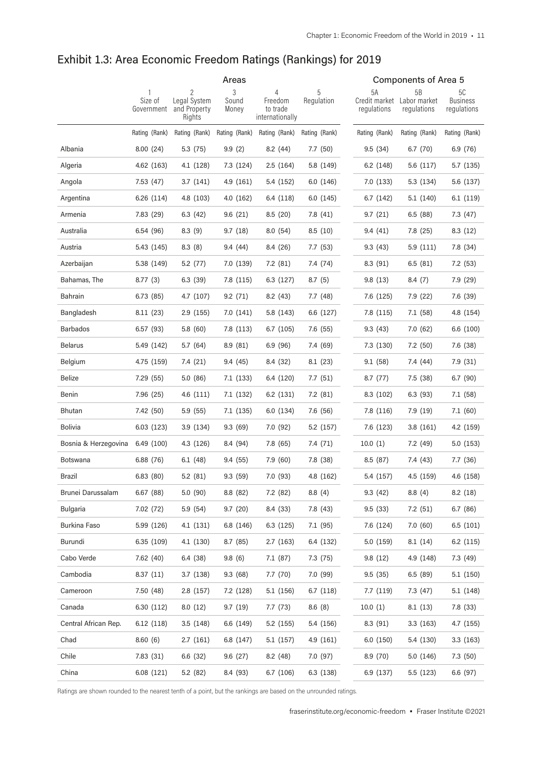|                      | Areas                 |                                             |                     |                                             |                 | <b>Components of Area 5</b> |                                                 |                                      |  |
|----------------------|-----------------------|---------------------------------------------|---------------------|---------------------------------------------|-----------------|-----------------------------|-------------------------------------------------|--------------------------------------|--|
|                      | Size of<br>Government | 2<br>Legal System<br>and Property<br>Rights | 3<br>Sound<br>Money | 4<br>Freedom<br>to trade<br>internationally | 5<br>Regulation | 5Α<br>regulations           | 5B<br>Credit market Labor market<br>regulations | 5C<br><b>Business</b><br>regulations |  |
|                      | Rating (Rank)         | Rating (Rank)                               | Rating (Rank)       | Rating (Rank)                               | Rating (Rank)   | Rating (Rank)               | Rating (Rank)                                   | Rating (Rank)                        |  |
| Albania              | 8.00(24)              | 5.3(75)                                     | 9.9(2)              | 8.2 (44)                                    | 7.7(50)         | 9.5(34)                     | 6.7(70)                                         | 6.9 (76)                             |  |
| Algeria              | 4.62 (163)            | 4.1 (128)                                   | 7.3 (124)           | 2.5(164)                                    | 5.8 (149)       | 6.2(148)                    | 5.6(117)                                        | 5.7 (135)                            |  |
| Angola               | 7.53 (47)             | 3.7(141)                                    | 4.9(161)            | 5.4 (152)                                   | 6.0(146)        | 7.0(133)                    | 5.3 (134)                                       | 5.6 (137)                            |  |
| Argentina            | 6.26(114)             | 4.8 (103)                                   | 4.0(162)            | 6.4 (118)                                   | 6.0(145)        | 6.7(142)                    | 5.1(140)                                        | 6.1(119)                             |  |
| Armenia              | 7.83 (29)             | 6.3(42)                                     | 9.6(21)             | 8.5(20)                                     | 7.8 (41)        | 9.7(21)                     | 6.5(88)                                         | 7.3 (47)                             |  |
| Australia            | 6.54 (96)             | 8.3(9)                                      | 9.7(18)             | 8.0(54)                                     | 8.5(10)         | 9.4(41)                     | 7.8 (25)                                        | 8.3(12)                              |  |
| Austria              | 5.43 (145)            | 8.3(8)                                      | 9.4 (44)            | 8.4 (26)                                    | 7.7 (53)        | 9.3(43)                     | 5.9(111)                                        | 7.8 (34)                             |  |
| Azerbaijan           | 5.38 (149)            | 5.2(77)                                     | 7.0(139)            | 7.2(81)                                     | 7.4 (74)        | 8.3 (91)                    | 6.5(81)                                         | 7.2(53)                              |  |
| Bahamas, The         | 8.77(3)               | 6.3(39)                                     | 7.8 (115)           | 6.3(127)                                    | 8.7(5)          | 9.8(13)                     | 8.4(7)                                          | 7.9 (29)                             |  |
| Bahrain              | 6.73(85)              | 4.7 (107)                                   | 9.2(71)             | 8.2(43)                                     | 7.7 (48)        | 7.6 (125)                   | 7.9 (22)                                        | 7.6 (39)                             |  |
| Bangladesh           | 8.11(23)              | 2.9(155)                                    | 7.0(141)            | 5.8 (143)                                   | 6.6 (127)       | 7.8 (115)                   | 7.1 (58)                                        | 4.8 (154)                            |  |
| <b>Barbados</b>      | 6.57(93)              | 5.8(60)                                     | 7.8 (113)           | 6.7(105)                                    | 7.6 (55)        | 9.3(43)                     | 7.0(62)                                         | 6.6(100)                             |  |
| <b>Belarus</b>       | 5.49 (142)            | 5.7(64)                                     | 8.9(81)             | 6.9(96)                                     | 7.4 (69)        | 7.3 (130)                   | 7.2 (50)                                        | 7.6 (38)                             |  |
| Belgium              | 4.75 (159)            | 7.4 (21)                                    | 9.4 (45)            | 8.4 (32)                                    | 8.1 (23)        | 9.1(58)                     | 7.4 (44)                                        | 7.9(31)                              |  |
| Belize               | 7.29 (55)             | 5.0(86)                                     | 7.1 (133)           | 6.4 (120)                                   | 7.7(51)         | 8.7(77)                     | 7.5 (38)                                        | 6.7(90)                              |  |
| Benin                | 7.96 (25)             | 4.6(111)                                    | 7.1 (132)           | 6.2 (131)                                   | 7.2 (81)        | 8.3 (102)                   | 6.3 (93)                                        | 7.1(58)                              |  |
| Bhutan               | 7.42 (50)             | 5.9(55)                                     | 7.1 (135)           | 6.0(134)                                    | 7.6 (56)        | 7.8 (116)                   | 7.9 (19)                                        | 7.1(60)                              |  |
| <b>Bolivia</b>       | 6.03 (123)            | 3.9(134)                                    | 9.3(69)             | 7.0 (92)                                    | 5.2 (157)       | 7.6 (123)                   | 3.8(161)                                        | 4.2 (159)                            |  |
| Bosnia & Herzegovina | 6.49(100)             | 4.3 (126)                                   | 8.4 (94)            | 7.8 (65)                                    | 7.4 (71)        | 10.0(1)                     | 7.2 (49)                                        | 5.0 (153)                            |  |
| <b>Botswana</b>      | 6.88 (76)             | 6.1(48)                                     | 9.4(55)             | 7.9(60)                                     | 7.8 (38)        | 8.5(87)                     | 7.4 (43)                                        | 7.7 (36)                             |  |
| Brazil               | 6.83(80)              | 5.2(81)                                     | 9.3(59)             | 7.0 (93)                                    | 4.8 (162)       | 5.4 (157)                   | 4.5 (159)                                       | 4.6 (158)                            |  |
| Brunei Darussalam    | 6.67 (88)             | 5.0(90)                                     | 8.8 (82)            | 7.2 (82)                                    | 8.8(4)          | 9.3(42)                     | 8.8(4)                                          | 8.2(18)                              |  |
| Bulgaria             | 7.02 (72)             | 5.9 (54)                                    | 9.7(20)             | 8.4 (33)                                    | 7.8 (43)        | 9.5(33)                     | 7.2(51)                                         | 6.7(86)                              |  |
| Burkina Faso         | 5.99 (126)            | 4.1(131)                                    | 6.8 (146)           | 6.3(125)                                    | 7.1 (95)        | 7.6 (124)                   | 7.0(60)                                         | 6.5(101)                             |  |
| Burundi              | 6.35 (109)            | 4.1 (130)                                   | 8.7(85)             | 2.7(163)                                    | 6.4 (132)       | 5.0(159)                    | 8.1(14)                                         | 6.2 (115)                            |  |
| Cabo Verde           | 7.62 (40)             | 6.4 (38)                                    | 9.8(6)              | 7.1(87)                                     | 7.3 (75)        | 9.8(12)                     | 4.9 (148)                                       | 7.3 (49)                             |  |
| Cambodia             | 8.37(11)              | 3.7(138)                                    | 9.3(68)             | 7.7(70)                                     | 7.0 (99)        | 9.5(35)                     | 6.5(89)                                         | 5.1(150)                             |  |
| Cameroon             | 7.50 (48)             | 2.8(157)                                    | 7.2 (128)           | 5.1(156)                                    | 6.7(118)        | 7.7 (119)                   | 7.3 (47)                                        | 5.1 (148)                            |  |
| Canada               | 6.30 (112)            | 8.0(12)                                     | 9.7(19)             | 7.7 (73)                                    | 8.6(8)          | 10.0(1)                     | 8.1 (13)                                        | 7.8 (33)                             |  |
| Central African Rep. | 6.12(118)             | 3.5(148)                                    | 6.6 (149)           | 5.2(155)                                    | 5.4 (156)       | 8.3(91)                     | 3.3(163)                                        | 4.7 (155)                            |  |
| Chad                 | 8.60(6)               | 2.7(161)                                    | 6.8 (147)           | 5.1 (157)                                   | 4.9 (161)       | 6.0(150)                    | 5.4 (130)                                       | 3.3(163)                             |  |
| Chile                | 7.83 (31)             | 6.6(32)                                     | 9.6(27)             | 8.2(48)                                     | 7.0 (97)        | 8.9 (70)                    | 5.0(146)                                        | 7.3(50)                              |  |
| China                | 6.08 (121)            | 5.2(82)                                     | 8.4 (93)            | 6.7(106)                                    | 6.3 (138)       | 6.9(137)                    | 5.5 (123)                                       | 6.6 (97)                             |  |
|                      |                       |                                             |                     |                                             |                 |                             |                                                 |                                      |  |

Ratings are shown rounded to the nearest tenth of a point, but the rankings are based on the unrounded ratings.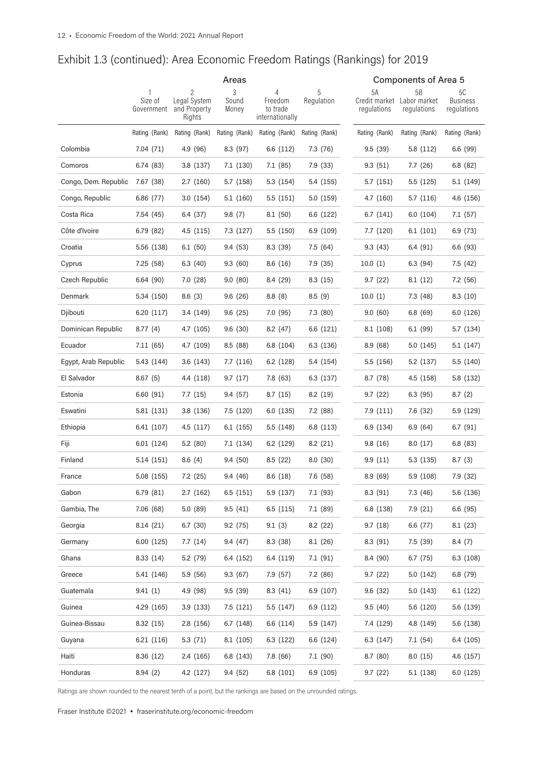|                      | Areas                 |                                        |                |                                        |               |               | <b>Components of Area 5</b>               |                                |
|----------------------|-----------------------|----------------------------------------|----------------|----------------------------------------|---------------|---------------|-------------------------------------------|--------------------------------|
|                      |                       | 2                                      | 3              | 4                                      | 5             | 5A            | 5B                                        | 5C                             |
|                      | Size of<br>Government | Legal System<br>and Property<br>Rights | Sound<br>Money | Freedom<br>to trade<br>internationally | Regulation    | regulations   | Credit market Labor market<br>regulations | <b>Business</b><br>regulations |
|                      | Rating (Rank)         | Rating (Rank)                          | Rating (Rank)  | Rating (Rank)                          | Rating (Rank) | Rating (Rank) | Rating (Rank)                             | Rating (Rank)                  |
| Colombia             | 7.04 (71)             | 4.9 (96)                               | 8.3 (97)       | 6.6 (112)                              | 7.3 (76)      | 9.5(39)       | 5.8(112)                                  | 6.6(99)                        |
| Comoros              | 6.74(83)              | 3.8(137)                               | 7.1 (130)      | 7.1(85)                                | 7.9 (33)      | 9.3(51)       | 7.7(26)                                   | 6.8(82)                        |
| Congo, Dem. Republic | 7.67 (38)             | 2.7(160)                               | 5.7 (158)      | 5.3(154)                               | 5.4 (155)     | 5.7 (151)     | 5.5(125)                                  | 5.1(149)                       |
| Congo, Republic      | 6.86 (77)             | 3.0(154)                               | 5.1 (160)      | 5.5(151)                               | 5.0(159)      | 4.7 (160)     | 5.7(116)                                  | 4.6 (156)                      |
| Costa Rica           | 7.54 (45)             | 6.4 (37)                               | 9.8(7)         | 8.1(50)                                | 6.6 (122)     | 6.7(141)      | 6.0(104)                                  | 7.1 (57)                       |
| Côte d'Ivoire        | 6.79(82)              | 4.5(115)                               | 7.3 (127)      | 5.5(150)                               | 6.9(109)      | 7.7 (120)     | 6.1(101)                                  | 6.9 (73)                       |
| Croatia              | 5.56 (138)            | 6.1(50)                                | 9.4(53)        | 8.3 (39)                               | 7.5(64)       | 9.3(43)       | 6.4(91)                                   | 6.6(93)                        |
| Cyprus               | 7.25 (58)             | 6.3(40)                                | 9.3(60)        | 8.6(16)                                | 7.9(35)       | 10.0(1)       | 6.3(94)                                   | 7.5(42)                        |
| Czech Republic       | 6.64(90)              | 7.0(28)                                | 9.0(80)        | 8.4 (29)                               | 8.3(15)       | 9.7(22)       | 8.1(12)                                   | 7.2 (56)                       |
| Denmark              | 5.34 (150)            | 8.6(3)                                 | 9.6(26)        | 8.8(8)                                 | 8.5(9)        | 10.0(1)       | 7.3 (48)                                  | 8.3(10)                        |
| Djibouti             | 6.20 (117)            | 3.4(149)                               | 9.6(25)        | 7.0(95)                                | 7.3 (80)      | 9.0(60)       | 6.8(69)                                   | 6.0(126)                       |
| Dominican Republic   | 8.77(4)               | 4.7 (105)                              | 9.6(30)        | 8.2(47)                                | 6.6 (121)     | 8.1 (108)     | 6.1(99)                                   | 5.7 (134)                      |
| Ecuador              | 7.11(65)              | 4.7 (109)                              | 8.5(88)        | 6.8(104)                               | 6.3 (136)     | 8.9(68)       | 5.0 (145)                                 | 5.1(147)                       |
| Egypt, Arab Republic | 5.43 (144)            | 3.6(143)                               | 7.7(116)       | 6.2(128)                               | 5.4 (154)     | 5.5 (156)     | 5.2 (137)                                 | 5.5 (140)                      |
| El Salvador          | 8.67(5)               | 4.4 (118)                              | 9.7(17)        | 7.8 (63)                               | 6.3 (137)     | 8.7(78)       | 4.5(158)                                  | 5.8 (132)                      |
| Estonia              | 6.60(91)              | 7.7(15)                                | 9.4(57)        | 8.7(15)                                | 8.2(19)       | 9.7(22)       | 6.3(95)                                   | 8.7(2)                         |
| Eswatini             | 5.81 (131)            | 3.8(136)                               | 7.5 (120)      | 6.0(135)                               | 7.2 (88)      | 7.9(111)      | 7.6 (32)                                  | 5.9 (129)                      |
| Ethiopia             | 6.41 (107)            | 4.5(117)                               | 6.1 (155)      | 5.5(148)                               | 6.8 (113)     | 6.9 (134)     | 6.9(64)                                   | 6.7(91)                        |
| Fiji                 | 6.01 (124)            | 5.2(80)                                | 7.1 (134)      | 6.2(129)                               | 8.2(21)       | 9.8(16)       | 8.0(17)                                   | 6.8(83)                        |
| Finland              | 5.14 (151)            | 8.6(4)                                 | 9.4(50)        | 8.5(22)                                | 8.0(30)       | 9.9(11)       | 5.3(135)                                  | 8.7(3)                         |
| France               | 5.08 (155)            | 7.2(25)                                | 9.4(46)        | 8.6(18)                                | 7.6(58)       | 8.9(69)       | 5.9 (108)                                 | 7.9 (32)                       |
| Gabon                | 6.79 (81)             | 2.7(162)                               | 6.5(151)       | 5.9 (137)                              | 7.1 (93)      | 8.3 (91)      | 7.3 (46)                                  | 5.6 (136)                      |
| Gambia, The          | 7.06(68)              | 5.0(89)                                | 9.5(41)        | 6.5(115)                               | 7.1(89)       | 6.8 (138)     | 7.9(21)                                   | 6.6 (95)                       |
| Georgia              | 8.14(21)              | 6.7(30)                                | 9.2(75)        | 9.1(3)                                 | 8.2(22)       | 9.7(18)       | 6.6 (77)                                  | 8.1(23)                        |
| Germany              | 6.00 (125)            | 7.7(14)                                | 9.4(47)        | 8.3(38)                                | 8.1(26)       | 8.3 (91)      | 7.5(39)                                   | 8.4(7)                         |
| Ghana                | 8.33(14)              | 5.2(79)                                | 6.4 (152)      | 6.4 (119)                              | 7.1(91)       | 8.4 (90)      | 6.7(75)                                   | 6.3(108)                       |
| Greece               | 5.41 (146)            | 5.9(56)                                | 9.3(67)        | 7.9(57)                                | 7.2 (86)      | 9.7(22)       | 5.0 (142)                                 | 6.8 (79)                       |
| Guatemala            | 9.41(1)               | 4.9 (98)                               | 9.5(39)        | 8.3(41)                                | 6.9(107)      | 9.6(32)       | 5.0 (143)                                 | 6.1(122)                       |
| Guinea               | 4.29 (165)            | 3.9(133)                               | 7.5(121)       | 5.5 (147)                              | 6.9(112)      | 9.5(40)       | 5.6 (120)                                 | 5.6 (139)                      |
| Guinea-Bissau        | 8.32(15)              | 2.8(156)                               | 6.7 (148)      | 6.6 (114)                              | 5.9(147)      | 7.4 (129)     | 4.8 (149)                                 | 5.6 (138)                      |
| Guyana               | 6.21(116)             | 5.3(71)                                | 8.1 (105)      | 6.3(122)                               | 6.6 (124)     | 6.3 (147)     | 7.1(54)                                   | 6.4 (105)                      |
| Haiti                | 8.36(12)              | 2.4(165)                               | 6.8 (143)      | 7.8 (66)                               | 7.1(90)       | 8.7(80)       | 8.0(15)                                   | 4.6 (157)                      |
| Honduras             | 8.94(2)               | 4.2 (127)                              | 9.4(52)        | 6.8 (101)                              | 6.9 (105)     | 9.7(22)       | 5.1(138)                                  | 6.0 (125)                      |

Ratings are shown rounded to the nearest tenth of a point, but the rankings are based on the unrounded ratings.

Fraser Institute ©2021 • fraserinstitute.org/economic-freedom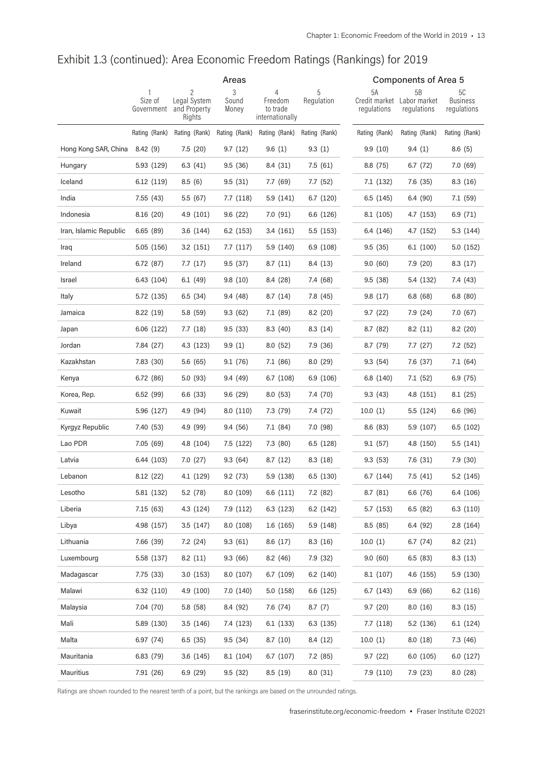|                        | Areas                 |                                             |                     |                                             |                 | <b>Components of Area 5</b> |                                                 |                                      |  |
|------------------------|-----------------------|---------------------------------------------|---------------------|---------------------------------------------|-----------------|-----------------------------|-------------------------------------------------|--------------------------------------|--|
|                        | Size of<br>Government | 2<br>Legal System<br>and Property<br>Rights | 3<br>Sound<br>Money | 4<br>Freedom<br>to trade<br>internationally | 5<br>Regulation | 5A<br>regulations           | 5B<br>Credit market Labor market<br>regulations | 5C<br><b>Business</b><br>regulations |  |
|                        | Rating (Rank)         | Rating (Rank)                               | Rating (Rank)       | Rating (Rank)                               | Rating (Rank)   | Rating (Rank)               | Rating (Rank)                                   | Rating (Rank)                        |  |
| Hong Kong SAR, China   | 8.42 (9)              | 7.5(20)                                     | 9.7(12)             | 9.6(1)                                      | 9.3(1)          | 9.9(10)                     | 9.4(1)                                          | 8.6(5)                               |  |
| Hungary                | 5.93 (129)            | 6.3(41)                                     | 9.5(36)             | 8.4 (31)                                    | 7.5(61)         | 8.8(75)                     | 6.7(72)                                         | 7.0(69)                              |  |
| Iceland                | 6.12(119)             | 8.5(6)                                      | 9.5(31)             | 7.7(69)                                     | 7.7(52)         | 7.1 (132)                   | 7.6 (35)                                        | 8.3(16)                              |  |
| India                  | 7.55(43)              | 5.5(67)                                     | 7.7(118)            | 5.9(141)                                    | 6.7(120)        | 6.5(145)                    | 6.4(90)                                         | 7.1(59)                              |  |
| Indonesia              | 8.16 (20)             | 4.9 (101)                                   | 9.6(22)             | 7.0(91)                                     | 6.6 (126)       | 8.1 (105)                   | 4.7 (153)                                       | 6.9(71)                              |  |
| Iran, Islamic Republic | 6.65(89)              | 3.6(144)                                    | 6.2(153)            | 3.4(161)                                    | 5.5(153)        | 6.4 (146)                   | 4.7 (152)                                       | 5.3 (144)                            |  |
| Iraq                   | 5.05(156)             | 3.2(151)                                    | 7.7(117)            | 5.9 (140)                                   | 6.9(108)        | 9.5(35)                     | 6.1(100)                                        | 5.0 (152)                            |  |
| Ireland                | 6.72(87)              | 7.7(17)                                     | 9.5(37)             | 8.7(11)                                     | 8.4 (13)        | 9.0(60)                     | 7.9(20)                                         | 8.3(17)                              |  |
| Israel                 | 6.43 (104)            | 6.1(49)                                     | 9.8(10)             | 8.4 (28)                                    | 7.4 (68)        | 9.5(38)                     | 5.4 (132)                                       | 7.4 (43)                             |  |
| Italy                  | 5.72 (135)            | 6.5(34)                                     | 9.4(48)             | 8.7(14)                                     | 7.8 (45)        | 9.8(17)                     | 6.8(68)                                         | 6.8(80)                              |  |
| Jamaica                | 8.22(19)              | 5.8 (59)                                    | 9.3(62)             | 7.1(89)                                     | 8.2(20)         | 9.7(22)                     | 7.9 (24)                                        | 7.0(67)                              |  |
| Japan                  | 6.06 (122)            | 7.7(18)                                     | 9.5(33)             | 8.3(40)                                     | 8.3(14)         | 8.7(82)                     | 8.2(11)                                         | 8.2(20)                              |  |
| Jordan                 | 7.84 (27)             | 4.3 (123)                                   | 9.9(1)              | 8.0(52)                                     | 7.9 (36)        | 8.7 (79)                    | 7.7(27)                                         | 7.2(52)                              |  |
| Kazakhstan             | 7.83 (30)             | 5.6(65)                                     | 9.1(76)             | 7.1 (86)                                    | 8.0(29)         | 9.3(54)                     | 7.6 (37)                                        | 7.1(64)                              |  |
| Kenya                  | 6.72(86)              | 5.0(93)                                     | 9.4(49)             | 6.7(108)                                    | 6.9(106)        | 6.8 (140)                   | 7.1 (52)                                        | 6.9(75)                              |  |
| Korea, Rep.            | 6.52(99)              | 6.6(33)                                     | 9.6(29)             | 8.0(53)                                     | 7.4 (70)        | 9.3(43)                     | 4.8 (151)                                       | 8.1(25)                              |  |
| Kuwait                 | 5.96 (127)            | 4.9 (94)                                    | 8.0(110)            | 7.3 (79)                                    | 7.4 (72)        | 10.0(1)                     | 5.5 (124)                                       | 6.6(96)                              |  |
| Kyrgyz Republic        | 7.40 (53)             | 4.9 (99)                                    | 9.4(56)             | 7.1(84)                                     | 7.0(98)         | 8.6(83)                     | 5.9 (107)                                       | 6.5(102)                             |  |
| Lao PDR                | 7.05(69)              | 4.8 (104)                                   | 7.5 (122)           | 7.3(80)                                     | 6.5(128)        | 9.1(57)                     | 4.8 (150)                                       | 5.5 (141)                            |  |
| Latvia                 | 6.44 (103)            | 7.0(27)                                     | 9.3(64)             | 8.7(12)                                     | 8.3(18)         | 9.3(53)                     | 7.6 (31)                                        | 7.9(30)                              |  |
| Lebanon                | 8.12(22)              | 4.1 (129)                                   | 9.2(73)             | 5.9 (138)                                   | 6.5(130)        | 6.7(144)                    | 7.5 (41)                                        | 5.2(145)                             |  |
| Lesotho                | 5.81 (132)            | 5.2 (78)                                    | 8.0 (109)           | 6.6 (111)                                   | 7.2 (82)        | 8.7(81)                     | 6.6 (76)                                        | 6.4 (106)                            |  |
| Liberia                | 7.15(63)              | 4.3 (124)                                   | 7.9 (112)           | 6.3(123)                                    | 6.2 (142)       | 5.7 (153)                   | 6.5(82)                                         | 6.3(110)                             |  |
| Libya                  | 4.98 (157)            | 3.5(147)                                    | 8.0(108)            | 1.6(165)                                    | 5.9 (148)       | 8.5(85)                     | 6.4 (92)                                        | 2.8(164)                             |  |
| Lithuania              | 7.66 (39)             | 7.2(24)                                     | 9.3(61)             | 8.6(17)                                     | 8.3(16)         | 10.0(1)                     | 6.7 (74)                                        | 8.2(21)                              |  |
| Luxembourg             | 5.58 (137)            | 8.2(11)                                     | 9.3(66)             | 8.2(46)                                     | 7.9 (32)        | 9.0(60)                     | 6.5(83)                                         | 8.3(13)                              |  |
| Madagascar             | 7.75 (33)             | 3.0(153)                                    | 8.0 (107)           | 6.7(109)                                    | 6.2(140)        | 8.1(107)                    | 4.6 (155)                                       | 5.9 (130)                            |  |
| Malawi                 | 6.32(110)             | 4.9 (100)                                   | 7.0 (140)           | 5.0(158)                                    | 6.6 (125)       | 6.7(143)                    | 6.9(66)                                         | 6.2(116)                             |  |
| Malaysia               | 7.04 (70)             | 5.8 (58)                                    | 8.4 (92)            | 7.6 (74)                                    | 8.7(7)          | 9.7(20)                     | 8.0(16)                                         | 8.3(15)                              |  |
| Mali                   | 5.89 (130)            | 3.5(146)                                    | 7.4 (123)           | 6.1(133)                                    | 6.3(135)        | 7.7(118)                    | 5.2 (136)                                       | 6.1(124)                             |  |
| Malta                  | 6.97(74)              | 6.5(35)                                     | 9.5(34)             | 8.7(10)                                     | 8.4 (12)        | 10.0(1)                     | 8.0(18)                                         | 7.3 (46)                             |  |
| Mauritania             | 6.83 (79)             | 3.6(145)                                    | 8.1 (104)           | 6.7(107)                                    | 7.2 (85)        | 9.7(22)                     | 6.0(105)                                        | 6.0(127)                             |  |
| Mauritius              | 7.91 (26)             | 6.9(29)                                     | 9.5(32)             | 8.5 (19)                                    | 8.0(31)         | 7.9 (110)                   | 7.9 (23)                                        | 8.0 (28)                             |  |

Ratings are shown rounded to the nearest tenth of a point, but the rankings are based on the unrounded ratings.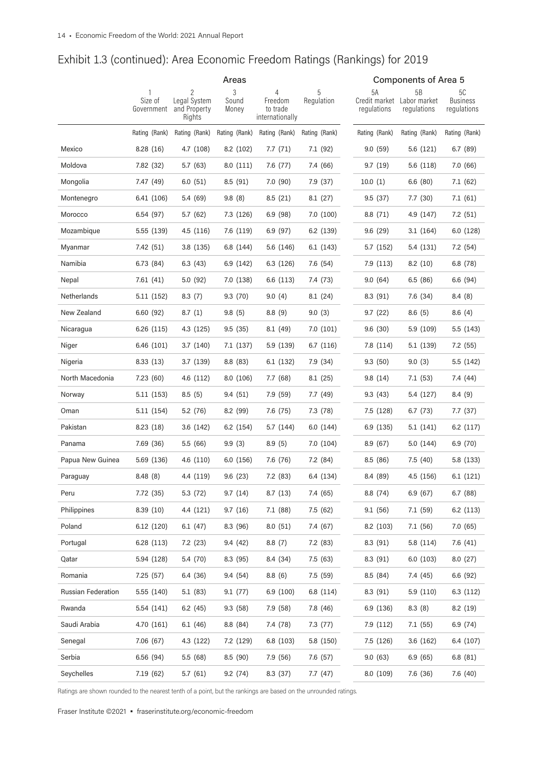|                    | Areas                 |                                             |                     |                                             |                 | Components of Area 5               |                                   |                                      |  |  |
|--------------------|-----------------------|---------------------------------------------|---------------------|---------------------------------------------|-----------------|------------------------------------|-----------------------------------|--------------------------------------|--|--|
|                    | Size of<br>Government | 2<br>Legal System<br>and Property<br>Rights | 3<br>Sound<br>Money | 4<br>Freedom<br>to trade<br>internationally | 5<br>Regulation | 5A<br>Credit market<br>regulations | 5B<br>Labor market<br>regulations | 5C<br><b>Business</b><br>regulations |  |  |
|                    | Rating (Rank)         | Rating (Rank)                               | Rating (Rank)       | Rating (Rank)                               | Rating (Rank)   | Rating (Rank)                      | Rating (Rank)                     | Rating (Rank)                        |  |  |
| Mexico             | 8.28(16)              | 4.7 (108)                                   | 8.2(102)            | 7.7(71)                                     | 7.1 (92)        | 9.0(59)                            | 5.6 (121)                         | 6.7(89)                              |  |  |
| Moldova            | 7.82 (32)             | 5.7(63)                                     | 8.0(111)            | 7.6 (77)                                    | 7.4 (66)        | 9.7(19)                            | 5.6(118)                          | 7.0 (66)                             |  |  |
| Mongolia           | 7.47 (49)             | 6.0(51)                                     | 8.5(91)             | 7.0 (90)                                    | 7.9(37)         | 10.0(1)                            | 6.6(80)                           | 7.1(62)                              |  |  |
| Montenegro         | 6.41 (106)            | 5.4 (69)                                    | 9.8(8)              | 8.5(21)                                     | 8.1(27)         | 9.5(37)                            | 7.7(30)                           | 7.1(61)                              |  |  |
| Morocco            | 6.54(97)              | 5.7(62)                                     | 7.3 (126)           | 6.9(98)                                     | 7.0(100)        | 8.8 (71)                           | 4.9 (147)                         | 7.2(51)                              |  |  |
| Mozambique         | 5.55 (139)            | 4.5(116)                                    | 7.6 (119)           | 6.9(97)                                     | 6.2 (139)       | 9.6(29)                            | 3.1(164)                          | 6.0(128)                             |  |  |
| Myanmar            | 7.42 (51)             | 3.8(135)                                    | 6.8 (144)           | 5.6 (146)                                   | 6.1(143)        | 5.7 (152)                          | 5.4 (131)                         | 7.2(54)                              |  |  |
| Namibia            | 6.73 (84)             | 6.3(43)                                     | 6.9(142)            | 6.3 (126)                                   | 7.6 (54)        | 7.9(113)                           | 8.2(10)                           | 6.8(78)                              |  |  |
| Nepal              | 7.61(41)              | 5.0(92)                                     | 7.0 (138)           | 6.6 (113)                                   | 7.4 (73)        | 9.0(64)                            | 6.5(86)                           | 6.6 (94)                             |  |  |
| Netherlands        | 5.11 (152)            | 8.3(7)                                      | 9.3(70)             | 9.0(4)                                      | 8.1(24)         | 8.3(91)                            | 7.6 (34)                          | 8.4(8)                               |  |  |
| New Zealand        | 6.60(92)              | 8.7(1)                                      | 9.8(5)              | 8.8(9)                                      | 9.0(3)          | 9.7(22)                            | 8.6(5)                            | 8.6(4)                               |  |  |
| Nicaragua          | 6.26 (115)            | 4.3(125)                                    | 9.5(35)             | 8.1(49)                                     | 7.0(101)        | 9.6(30)                            | 5.9(109)                          | 5.5 (143)                            |  |  |
| Niger              | 6.46 (101)            | 3.7(140)                                    | 7.1 (137)           | 5.9 (139)                                   | 6.7(116)        | 7.8 (114)                          | 5.1 (139)                         | 7.2 (55)                             |  |  |
| Nigeria            | 8.33(13)              | 3.7(139)                                    | 8.8(83)             | 6.1 (132)                                   | 7.9 (34)        | 9.3(50)                            | 9.0(3)                            | 5.5 (142)                            |  |  |
| North Macedonia    | 7.23(60)              | 4.6(112)                                    | 8.0 (106)           | 7.7(68)                                     | 8.1(25)         | 9.8(14)                            | 7.1(53)                           | 7.4 (44)                             |  |  |
| Norway             | 5.11(153)             | 8.5(5)                                      | 9.4(51)             | 7.9 (59)                                    | 7.7 (49)        | 9.3(43)                            | 5.4 (127)                         | 8.4(9)                               |  |  |
| Oman               | 5.11(154)             | 5.2 (76)                                    | 8.2(99)             | 7.6 (75)                                    | 7.3 (78)        | 7.5 (128)                          | 6.7(73)                           | 7.7(37)                              |  |  |
| Pakistan           | 8.23(18)              | 3.6(142)                                    | 6.2(154)            | 5.7 (144)                                   | 6.0(144)        | 6.9(135)                           | 5.1 (141)                         | 6.2(117)                             |  |  |
| Panama             | 7.69 (36)             | 5.5(66)                                     | 9.9(3)              | 8.9(5)                                      | 7.0(104)        | 8.9(67)                            | 5.0(144)                          | 6.9(70)                              |  |  |
| Papua New Guinea   | 5.69 (136)            | 4.6(110)                                    | 6.0(156)            | 7.6 (76)                                    | 7.2(84)         | 8.5(86)                            | 7.5(40)                           | 5.8 (133)                            |  |  |
| Paraguay           | 8.48(8)               | 4.4 (119)                                   | 9.6(23)             | 7.2 (83)                                    | 6.4 (134)       | 8.4 (89)                           | 4.5(156)                          | 6.1(121)                             |  |  |
| Peru               | 7.72 (35)             | 5.3 (72)                                    | 9.7(14)             | 8.7(13)                                     | 7.4 (65)        | 8.8 (74)                           | 6.9(67)                           | 6.7 (88)                             |  |  |
| Philippines        | 8.39(10)              | 4.4 (121)                                   | 9.7(16)             | 7.1 (88)                                    | 7.5(62)         | 9.1(56)                            | 7.1(59)                           | 6.2(113)                             |  |  |
| Poland             | 6.12 (120)            | 6.1(47)                                     | 8.3 (96)            | 8.0(51)                                     | 7.4 (67)        | 8.2 (103)                          | 7.1(56)                           | 7.0(65)                              |  |  |
| Portugal           | 6.28(113)             | 7.2 (23)                                    | 9.4(42)             | 8.8(7)                                      | 7.2 (83)        | 8.3 (91)                           | 5.8 (114)                         | 7.6(41)                              |  |  |
| Qatar              | 5.94 (128)            | 5.4 (70)                                    | 8.3(95)             | 8.4 (34)                                    | 7.5(63)         | 8.3(91)                            | 6.0(103)                          | 8.0(27)                              |  |  |
| Romania            | 7.25(57)              | 6.4 (36)                                    | 9.4(54)             | 8.8(6)                                      | 7.5(59)         | 8.5(84)                            | 7.4 (45)                          | 6.6 (92)                             |  |  |
| Russian Federation | 5.55 (140)            | 5.1(83)                                     | 9.1(77)             | 6.9 (100)                                   | 6.8(114)        | 8.3(91)                            | 5.9(110)                          | 6.3(112)                             |  |  |
| Rwanda             | 5.54 (141)            | 6.2(45)                                     | 9.3(58)             | 7.9 (58)                                    | 7.8 (46)        | 6.9 (136)                          | 8.3(8)                            | 8.2(19)                              |  |  |
| Saudi Arabia       | 4.70 (161)            | 6.1(46)                                     | 8.8 (84)            | 7.4 (78)                                    | 7.3(77)         | 7.9 (112)                          | 7.1(55)                           | 6.9(74)                              |  |  |
| Senegal            | 7.06(67)              | 4.3(122)                                    | 7.2 (129)           | 6.8(103)                                    | 5.8 (150)       | 7.5 (126)                          | 3.6(162)                          | 6.4 (107)                            |  |  |
| Serbia             | 6.56(94)              | 5.5 (68)                                    | 8.5(90)             | 7.9 (56)                                    | 7.6(57)         | 9.0(63)                            | 6.9(65)                           | 6.8(81)                              |  |  |
| Seychelles         | 7.19 (62)             | 5.7(61)                                     | 9.2(74)             | 8.3 (37)                                    | 7.7(47)         | 8.0 (109)                          | 7.6 (36)                          | 7.6 (40)                             |  |  |

Ratings are shown rounded to the nearest tenth of a point, but the rankings are based on the unrounded ratings.

Fraser Institute ©2021 • fraserinstitute.org/economic-freedom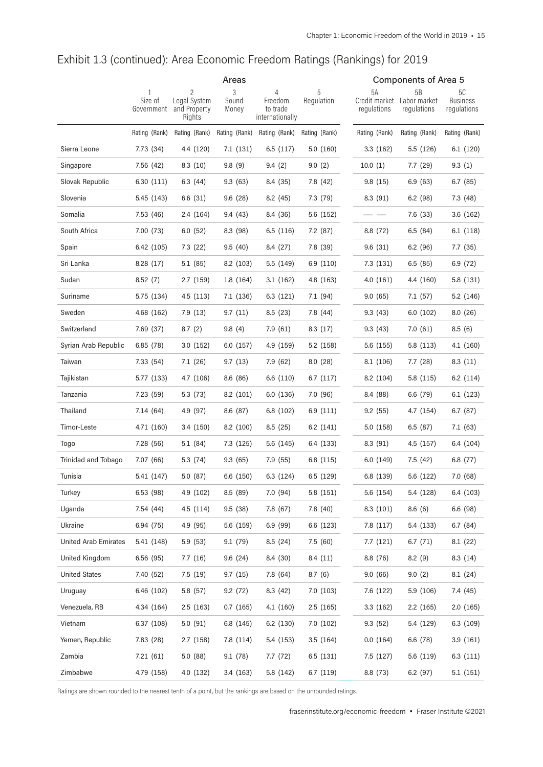|                             | Areas                 |                                        |                |                                        |               | <b>Components of Area 5</b> |                                           |                                |  |  |
|-----------------------------|-----------------------|----------------------------------------|----------------|----------------------------------------|---------------|-----------------------------|-------------------------------------------|--------------------------------|--|--|
|                             |                       | 2                                      | 3              | 4                                      |               | 5A                          | 5B                                        | 5C                             |  |  |
|                             | Size of<br>Government | Legal System<br>and Property<br>Rights | Sound<br>Money | Freedom<br>to trade<br>internationally | Regulation    | regulations                 | Credit market Labor market<br>regulations | <b>Business</b><br>regulations |  |  |
|                             | Rating (Rank)         | Rating (Rank)                          | Rating (Rank)  | Rating (Rank)                          | Rating (Rank) | Rating (Rank)               | Rating (Rank)                             | Rating (Rank)                  |  |  |
| Sierra Leone                | 7.73 (34)             | 4.4 (120)                              | 7.1 (131)      | 6.5(117)                               | 5.0(160)      | 3.3(162)                    | 5.5 (126)                                 | 6.1 (120)                      |  |  |
| Singapore                   | 7.56 (42)             | 8.3(10)                                | 9.8(9)         | 9.4(2)                                 | 9.0(2)        | 10.0(1)                     | 7.7(29)                                   | 9.3(1)                         |  |  |
| Slovak Republic             | 6.30 (111)            | 6.3(44)                                | 9.3(63)        | 8.4 (35)                               | 7.8 (42)      | 9.8(15)                     | 6.9(63)                                   | 6.7(85)                        |  |  |
| Slovenia                    | 5.45 (143)            | 6.6(31)                                | 9.6(28)        | 8.2(45)                                | 7.3(79)       | 8.3(91)                     | 6.2(98)                                   | 7.3(48)                        |  |  |
| Somalia                     | 7.53 (46)             | 2.4 (164)                              | 9.4 (43)       | 8.4 (36)                               | 5.6 (152)     |                             | 7.6 (33)                                  | 3.6(162)                       |  |  |
| South Africa                | 7.00 (73)             | 6.0(52)                                | 8.3(98)        | 6.5(116)                               | 7.2(87)       | 8.8 (72)                    | 6.5(84)                                   | 6.1(118)                       |  |  |
| Spain                       | 6.42 (105)            | 7.3(22)                                | 9.5(40)        | 8.4 (27)                               | 7.8 (39)      | 9.6(31)                     | 6.2(96)                                   | 7.7(35)                        |  |  |
| Sri Lanka                   | 8.28(17)              | 5.1 (85)                               | 8.2 (103)      | 5.5(149)                               | 6.9(110)      | 7.3 (131)                   | 6.5(85)                                   | 6.9(72)                        |  |  |
| Sudan                       | 8.52(7)               | 2.7(159)                               | 1.8(164)       | 3.1(162)                               | 4.8 (163)     | 4.0(161)                    | 4.4 (160)                                 | 5.8 (131)                      |  |  |
| Suriname                    | 5.75 (134)            | 4.5(113)                               | 7.1 (136)      | 6.3(121)                               | 7.1(94)       | 9.0(65)                     | 7.1(57)                                   | 5.2 (146)                      |  |  |
| Sweden                      | 4.68 (162)            | 7.9(13)                                | 9.7(11)        | 8.5(23)                                | 7.8 (44)      | 9.3(43)                     | 6.0(102)                                  | 8.0(26)                        |  |  |
| Switzerland                 | 7.69 (37)             | 8.7(2)                                 | 9.8(4)         | 7.9(61)                                | 8.3(17)       | 9.3(43)                     | 7.0(61)                                   | 8.5(6)                         |  |  |
| Syrian Arab Republic        | 6.85(78)              | 3.0(152)                               | 6.0(157)       | 4.9 (159)                              | 5.2 (158)     | 5.6 (155)                   | 5.8 (113)                                 | 4.1(160)                       |  |  |
| Taiwan                      | 7.33 (54)             | 7.1(26)                                | 9.7(13)        | 7.9 (62)                               | 8.0(28)       | 8.1 (106)                   | 7.7(28)                                   | 8.3(11)                        |  |  |
| Tajikistan                  | 5.77 (133)            | 4.7 (106)                              | 8.6(86)        | 6.6 (110)                              | 6.7(117)      | 8.2 (104)                   | 5.8 (115)                                 | 6.2(114)                       |  |  |
| Tanzania                    | 7.23 (59)             | 5.3(73)                                | 8.2(101)       | 6.0 (136)                              | 7.0 (96)      | 8.4 (88)                    | 6.6 (79)                                  | 6.1(123)                       |  |  |
| Thailand                    | 7.14(64)              | 4.9 (97)                               | 8.6(87)        | 6.8 (102)                              | 6.9(111)      | 9.2(55)                     | 4.7 (154)                                 | 6.7(87)                        |  |  |
| Timor-Leste                 | 4.71 (160)            | 3.4 (150)                              | 8.2(100)       | 8.5(25)                                | 6.2(141)      | 5.0 (158)                   | 6.5(87)                                   | 7.1(63)                        |  |  |
| Togo                        | 7.28 (56)             | 5.1(84)                                | 7.3 (125)      | 5.6 (145)                              | 6.4 (133)     | 8.3(91)                     | 4.5(157)                                  | 6.4 (104)                      |  |  |
| Trinidad and Tobago         | 7.07 (66)             | 5.3 (74)                               | 9.3(65)        | 7.9 (55)                               | 6.8 (115)     | 6.0(149)                    | 7.5(42)                                   | 6.8(77)                        |  |  |
| Tunisia                     | 5.41 (147)            | 5.0(87)                                | 6.6 (150)      | 6.3 (124)                              | 6.5 (129)     | 6.8 (139)                   | 5.6 (122)                                 | 7.0(68)                        |  |  |
| Turkey                      | 6.53 (98)             | 4.9 (102)                              | 8.5 (89)       | 7.0 (94)                               | 5.8 (151)     | 5.6 (154)                   | 5.4 (128)                                 | 6.4 (103)                      |  |  |
| Uganda                      | 7.54 (44)             | 4.5 (114)                              | 9.5(38)        | 7.8 (67)                               | 7.8 (40)      | 8.3 (101)                   | 8.6(6)                                    | 6.6(98)                        |  |  |
| Ukraine                     | 6.94(75)              | 4.9 (95)                               | 5.6 (159)      | 6.9(99)                                | 6.6 (123)     | 7.8 (117)                   | 5.4 (133)                                 | 6.7(84)                        |  |  |
| <b>United Arab Emirates</b> | 5.41 (148)            | 5.9(53)                                | 9.1(79)        | 8.5(24)                                | 7.5(60)       | 7.7(121)                    | 6.7(71)                                   | 8.1(22)                        |  |  |
| United Kingdom              | 6.56(95)              | 7.7(16)                                | 9.6(24)        | 8.4 (30)                               | 8.4(11)       | 8.8(76)                     | 8.2(9)                                    | 8.3(14)                        |  |  |
| <b>United States</b>        | 7.40 (52)             | 7.5(19)                                | 9.7(15)        | 7.8 (64)                               | 8.7(6)        | 9.0(66)                     | 9.0(2)                                    | 8.1(24)                        |  |  |
| Uruguay                     | 6.46 (102)            | 5.8 (57)                               | 9.2(72)        | 8.3(42)                                | 7.0(103)      | 7.6 (122)                   | 5.9 (106)                                 | 7.4 (45)                       |  |  |
| Venezuela, RB               | 4.34 (164)            | 2.5(163)                               | 0.7(165)       | 4.1 (160)                              | 2.5(165)      | 3.3(162)                    | 2.2(165)                                  | 2.0(165)                       |  |  |
| Vietnam                     | 6.37(108)             | 5.0(91)                                | 6.8 (145)      | 6.2 (130)                              | 7.0 (102)     | 9.3(52)                     | 5.4 (129)                                 | 6.3(109)                       |  |  |
| Yemen, Republic             | 7.83 (28)             | 2.7(158)                               | 7.8 (114)      | 5.4 (153)                              | 3.5(164)      | 0.0(164)                    | 6.6 (78)                                  | 3.9 (161)                      |  |  |
| Zambia                      | 7.21(61)              | 5.0 (88)                               | 9.1(78)        | 7.7 (72)                               | 6.5 (131)     | 7.5 (127)                   | 5.6 (119)                                 | 6.3(111)                       |  |  |
| Zimbabwe                    | 4.79 (158)            | 4.0 (132)                              | 3.4(163)       | 5.8 (142)                              | 6.7 (119)     | 8.8 (73)                    | 6.2 (97)                                  | 5.1(151)                       |  |  |

Ratings are shown rounded to the nearest tenth of a point, but the rankings are based on the unrounded ratings.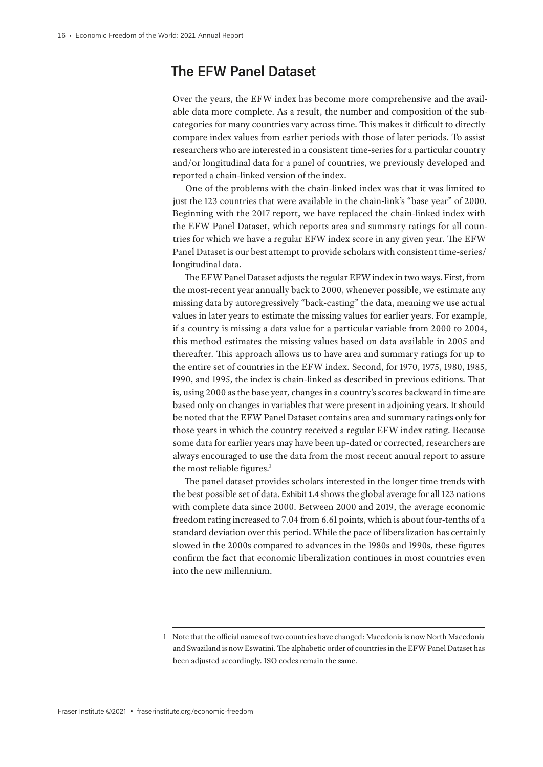## **The EFW Panel Dataset**

Over the years, the EFW index has become more comprehensive and the available data more complete. As a result, the number and composition of the subcategories for many countries vary across time. This makes it difficult to directly compare index values from earlier periods with those of later periods. To assist researchers who are interested in a consistent time-series for a particular country and/or longitudinal data for a panel of countries, we previously developed and reported a chain-linked version of the index.

One of the problems with the chain-linked index was that it was limited to just the 123 countries that were available in the chain-link's "base year" of 2000. Beginning with the 2017 report, we have replaced the chain-linked index with the EFW Panel Dataset, which reports area and summary ratings for all countries for which we have a regular EFW index score in any given year. The EFW Panel Dataset is our best attempt to provide scholars with consistent time-series/ longitudinal data.

The EFW Panel Dataset adjusts the regular EFW index in two ways. First, from the most-recent year annually back to 2000, whenever possible, we estimate any missing data by autoregressively "back-casting" the data, meaning we use actual values in later years to estimate the missing values for earlier years. For example, if a country is missing a data value for a particular variable from 2000 to 2004, this method estimates the missing values based on data available in 2005 and thereafter. This approach allows us to have area and summary ratings for up to the entire set of countries in the EFW index. Second, for 1970, 1975, 1980, 1985, 1990, and 1995, the index is chain-linked as described in previous editions. That is, using 2000 as the base year, changes in a country's scores backward in time are based only on changes in variables that were present in adjoining years. It should be noted that the EFW Panel Dataset contains area and summary ratings only for those years in which the country received a regular EFW index rating. Because some data for earlier years may have been up-dated or corrected, researchers are always encouraged to use the data from the most recent annual report to assure the most reliable figures.<sup>1</sup>

The panel dataset provides scholars interested in the longer time trends with the best possible set of data. Exhibit 1.4 shows the global average for all 123 nations with complete data since 2000. Between 2000 and 2019, the average economic freedom rating increased to 7.04 from 6.61 points, which is about four-tenths of a standard deviation over this period. While the pace of liberalization has certainly slowed in the 2000s compared to advances in the 1980s and 1990s, these figures confirm the fact that economic liberalization continues in most countries even into the new millennium.

<sup>1</sup> Note that the official names of two countries have changed: Macedonia is now North Macedonia and Swaziland is now Eswatini. The alphabetic order of countries in the EFW Panel Dataset has been adjusted accordingly. ISO codes remain the same.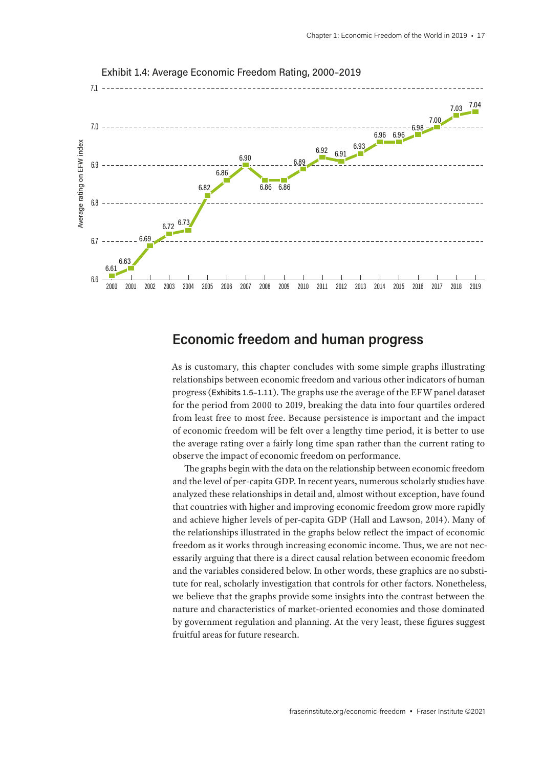

Exhibit 1.4: Average Economic Freedom Rating, 2000–2019

## **Economic freedom and human progress**

As is customary, this chapter concludes with some simple graphs illustrating relationships between economic freedom and various other indicators of human progress (Exhibits 1.5–1.11). The graphs use the average of the EFW panel dataset for the period from 2000 to 2019, breaking the data into four quartiles ordered from least free to most free. Because persistence is important and the impact of economic freedom will be felt over a lengthy time period, it is better to use the average rating over a fairly long time span rather than the current rating to observe the impact of economic freedom on performance.

The graphs begin with the data on the relationship between economic freedom and the level of per-capita GDP. In recent years, numerous scholarly studies have analyzed these relationships in detail and, almost without exception, have found that countries with higher and improving economic freedom grow more rapidly and achieve higher levels of per-capita GDP (Hall and Lawson, 2014). Many of the relationships illustrated in the graphs below reflect the impact of economic freedom as it works through increasing economic income. Thus, we are not necessarily arguing that there is a direct causal relation between economic freedom and the variables considered below. In other words, these graphics are no substitute for real, scholarly investigation that controls for other factors. Nonetheless, we believe that the graphs provide some insights into the contrast between the nature and characteristics of market-oriented economies and those dominated by government regulation and planning. At the very least, these figures suggest fruitful areas for future research.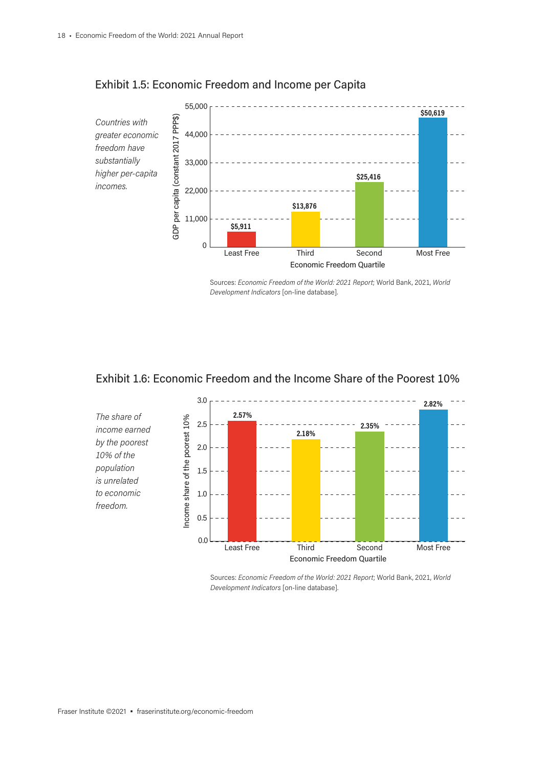

#### Exhibit 1.5: Economic Freedom and Income per Capita

Sources: *Economic Freedom of the World: 2021 Report*; World Bank, 2021, *World Development Indicators* [on-line database].





Sources: *Economic Freedom of the World: 2021 Report*; World Bank, 2021, *World Development Indicators* [on-line database].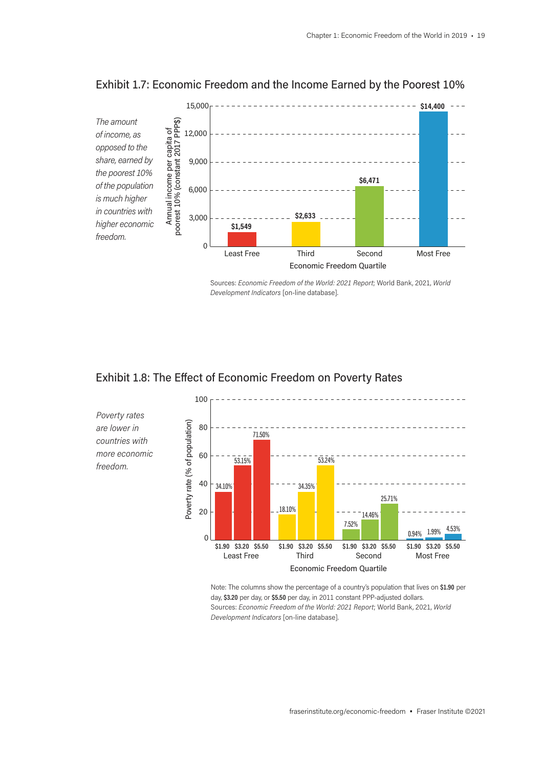

#### Exhibit 1.7: Economic Freedom and the Income Earned by the Poorest 10%

Sources: *Economic Freedom of the World: 2021 Report*; World Bank, 2021, *World Development Indicators* [on-line database].

#### Exhibit 1.8: The Effect of Economic Freedom on Poverty Rates



*Poverty rates are lower in countries with more economic freedom.*

> Note: The columns show the percentage of a country's population that lives on **\$1.90** per day, **\$3.20** per day, or **\$5.50** per day, in 2011 constant PPP-adjusted dollars. Sources: *Economic Freedom of the World: 2021 Report*; World Bank, 2021, *World Development Indicators* [on-line database].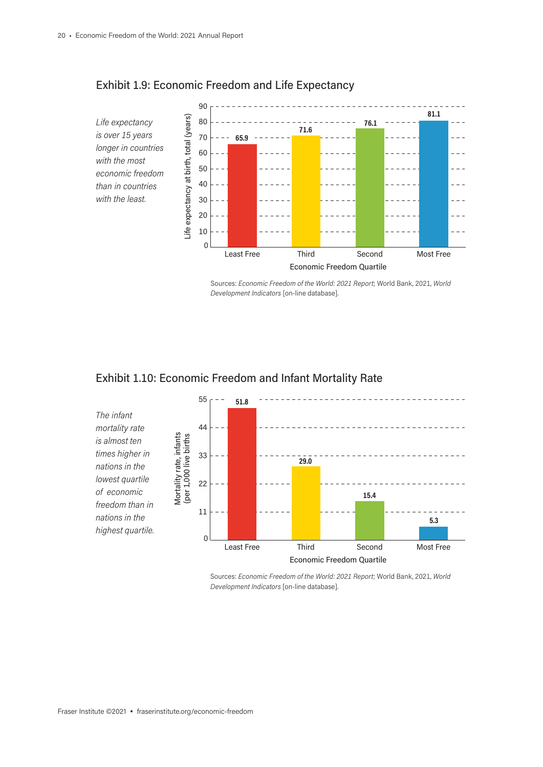

## Exhibit 1.9: Economic Freedom and Life Expectancy







Sources: *Economic Freedom of the World: 2021 Report*; World Bank, 2021, *World Development Indicators* [on-line database].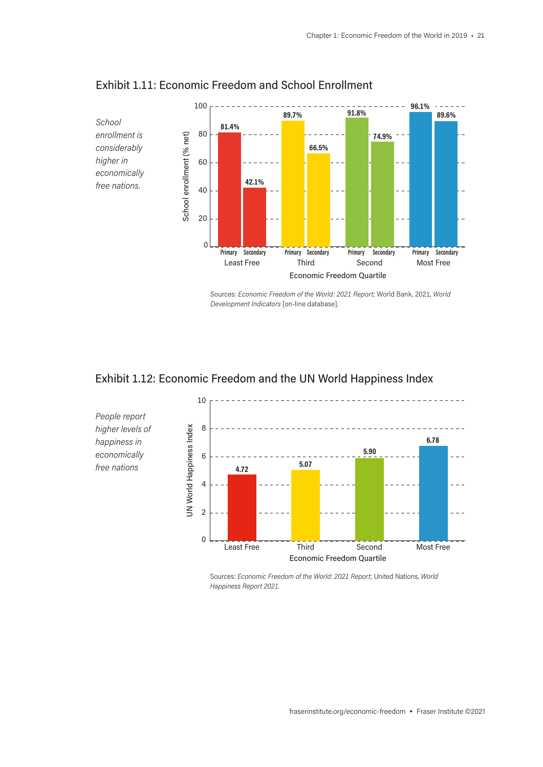

#### Exhibit 1.11: Economic Freedom and School Enrollment

Sources: *Economic Freedom of the World: 2021 Report*; World Bank, 2021, *World Development Indicators* [on-line database].

## Exhibit 1.12: Economic Freedom and the UN World Happiness Index



Sources: *Economic Freedom of the World: 2021 Report*; United Nations, *World Happiness Report 2021.*